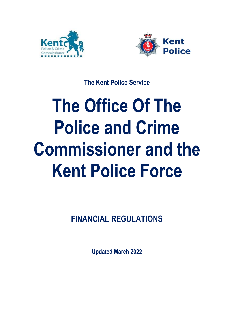



**The Kent Police Service**

# **The Office Of The Police and Crime Commissioner and the Kent Police Force**

**FINANCIAL REGULATIONS**

**Updated March 2022**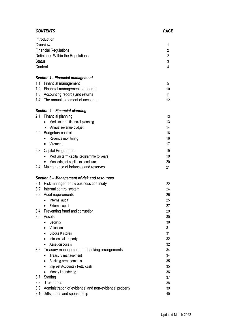| <b>CONTENTS</b>                                                 | <b>PAGE</b>    |
|-----------------------------------------------------------------|----------------|
| <b>Introduction</b>                                             |                |
| Overview                                                        | 1              |
| <b>Financial Regulations</b>                                    | $\overline{2}$ |
| Definitions Within the Regulations                              | $\overline{2}$ |
| <b>Status</b>                                                   | 3              |
| Content                                                         | 4              |
| <b>Section 1 - Financial management</b>                         |                |
| 1.1<br><b>Financial management</b>                              | 5              |
| 1.2 Financial management standards                              | 10             |
| 1.3 Accounting records and returns                              | 11             |
| 1.4 The annual statement of accounts                            | 12             |
| Section 2 - Financial planning                                  |                |
| 2.1<br>Financial planning                                       | 13             |
| Medium term financial planning<br>$\bullet$                     | 13             |
| Annual revenue budget<br>$\bullet$                              | 14             |
| $2.2\phantom{0}$<br><b>Budgetary control</b>                    | 16             |
| Revenue monitoring<br>$\bullet$                                 | 16             |
| Virement<br>$\bullet$                                           | 17             |
| 2.3<br>Capital Programme                                        | 19             |
| Medium term capital programme (5 years)<br>$\bullet$            | 19             |
| Monitoring of capital expenditure<br>$\bullet$                  | 20             |
| Maintenance of balances and reserves<br>2.4                     | 21             |
| Section 3 – Management of risk and resources                    |                |
| 3.1 Risk management & business continuity                       | 22             |
| 3.2<br>Internal control system                                  | 24             |
| 3.3<br>Audit requirements                                       | 25             |
| Internal audit<br>$\bullet$                                     | 25             |
| <b>External audit</b><br>$\bullet$                              | 27             |
| Preventing fraud and corruption<br>3.4                          | 29             |
| 3.5<br>Assets                                                   | 30             |
| Security<br>$\bullet$                                           | 30             |
| Valuation<br>$\bullet$                                          | 31             |
| Stocks & stores                                                 | 31             |
| Intellectual property<br>$\bullet$                              | 32             |
| Asset disposals<br>$\bullet$                                    | 32             |
| 3.6<br>Treasury management and banking arrangements             | 34             |
| Treasury management<br>$\bullet$                                | 34             |
| Banking arrangements<br>$\bullet$                               | 35             |
| Imprest Accounts / Petty cash<br>$\bullet$                      | 35             |
| Money Laundering<br>$\bullet$                                   | 36             |
| Staffing<br>3.7                                                 | 37             |
| 3.8<br><b>Trust funds</b>                                       | 38             |
| 3.9<br>Administration of evidential and non-evidential property | 39             |
| 3.10 Gifts, loans and sponsorship                               | 40             |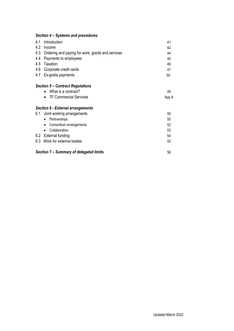# *Section 4 – Systems and procedures*

| 4.1 | Introduction                                         | 41 |
|-----|------------------------------------------------------|----|
| 4.2 | Income                                               | 42 |
|     | 4.3 Ordering and paying for work, goods and services | 44 |
|     | 4.4 Payments to employees                            | 45 |
|     | 4.5 Taxation                                         | 46 |
|     | 4.6 Corporate credit cards                           | 47 |
|     | 4.7 Ex-gratia payments                               | 50 |
|     | <b>Section 5 - Contract Regulations</b>              |    |
|     | What is a contract?                                  | 49 |

• 7F Commercial Services App A

# *Section 6 - External arrangements*

| 6.1 | Joint working arrangements                    |    |
|-----|-----------------------------------------------|----|
|     | Partnerships<br>$\bullet$                     | 50 |
|     | Consortium arrangements<br>$\bullet$          | 52 |
|     | Collaboration<br>$\bullet$                    | 53 |
|     | 6.2 External funding                          | 54 |
|     | 6.3 Work for external bodies                  | 55 |
|     |                                               |    |
|     | Section 7 - Summary of delegated limits<br>56 |    |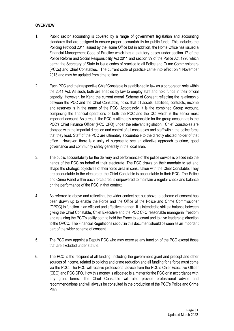# **OVERVIEW**

- 1. Public sector accounting is covered by a range of government legislation and accounting standards that are designed to ensure proper accountability for public funds. This includes the Policing Protocol 2011 issued by the Home Office but in addition, the Home Office has issued a Financial Management Code of Practice which has a statutory bases under section 17 of the Police Reform and Social Responsibility Act 2011 and section 39 of the Police Act 1996 which permit the Secretary of State to issue codes of practice to all Police and Crime Commissioners (PCCs) and Chief Constables. The current code of practice came into effect on 1 November 2013 and may be updated from time to time.
- 2. Each PCC and their respective Chief Constable is established in law as a corporation sole within the 2011 Act. As such, both are enabled by law to employ staff and hold funds in their official capacity. However, for Kent, the current overall Scheme of Consent reflecting the relationship between the PCC and the Chief Constable, holds that all assets, liabilities, contracts, income and reserves is in the name of the PCC. Accordingly, it is the combined Group Account, comprising the financial operations of both the PCC and the CC, which is the senior most important account. As a result, the PCC is ultimately responsible for the group account as is the PCC's Chief Finance Officer (PCC CFO) under the relevant legislation. Chief Constables are charged with the impartial direction and control of all constables and staff within the police force that they lead. Staff of the PCC are ultimately accountable to the directly elected holder of that office. However, there is a unity of purpose to see an effective approach to crime, good governance and community safety generally in the local area.
- 3. The public accountability for the delivery and performance of the police service is placed into the hands of the PCC on behalf of their electorate. The PCC draws on their mandate to set and shape the strategic objectives of their force area in consultation with the Chief Constable. They are accountable to the electorate; the Chief Constable is accountable to their PCC. The Police and Crime Panel within each force area is empowered to maintain a regular check and balance on the performance of the PCC in that context.
- 4. As referred to above and reflecting, the wider context set out above, a scheme of consent has been drawn up to enable the Force and the Office of the Police and Crime Commissioner (OPCC) to function in an efficient and effective manner. It is intended to strike a balance between giving the Chief Constable, Chief Executive and the PCC CFO reasonable managerial freedom and retaining the PCC's ability both to hold the Force to account and to give leadership direction to the OPCC. The Financial Regulations set out in this document should be seen as an important part of the wider scheme of consent.
- 5. The PCC may appoint a Deputy PCC who may exercise any function of the PCC except those that are excluded under statute.
- 6. The PCC is the recipient of all funding, including the government grant and precept and other sources of income, related to policing and crime reduction and all funding for a force must come via the PCC. The PCC will receive professional advice from the PCC's Chief Executive Officer (CEO) and PCC CFO. How this money is allocated is a matter for the PCC or in accordance with any grant terms. The Chief Constable will also provide professional advice and recommendations and will always be consulted in the production of the PCC's Police and Crime Plan.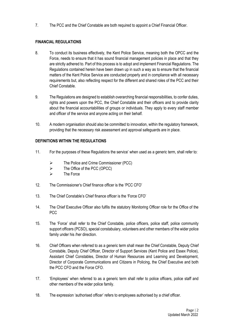7. The PCC and the Chief Constable are both required to appoint a Chief Financial Officer.

# **FINANCIAL REGULATIONS**

- 8. To conduct its business effectively, the Kent Police Service, meaning both the OPCC and the Force, needs to ensure that it has sound financial management policies in place and that they are strictly adhered to. Part of this process is to adopt and implement Financial Regulations. The Regulations contained herein have been drawn up in such a way as to ensure that the financial matters of the Kent Police Service are conducted properly and in compliance with all necessary requirements but, also reflecting respect for the different and shared roles of the PCC and their Chief Constable.
- 9. The Regulations are designed to establish overarching financial responsibilities, to confer duties, rights and powers upon the PCC, the Chief Constable and their officers and to provide clarity about the financial accountabilities of groups or individuals. They apply to every staff member and officer of the service and anyone acting on their behalf.
- 10. A modern organisation should also be committed to innovation, within the regulatory framework, providing that the necessary risk assessment and approval safeguards are in place.

# **DEFINITIONS WITHIN THE REGULATIONS**

- 11. For the purposes of these Regulations the service' when used as a generic term, shall refer to:
	- ➢ The Police and Crime Commissioner (PCC)
	- $\triangleright$  The Office of the PCC (OPCC)
	- ➢ The Force
- 12. The Commissioner's Chief finance officer is the 'PCC CFO'
- 13. The Chief Constable's Chief finance officer is the 'Force CFO'
- 14. The Chief Executive Officer also fulfils the statutory Monitoring Officer role for the Office of the PCC
- 15. The 'Force' shall refer to the Chief Constable, police officers, police staff, police community support officers (PCSO), special constabulary, volunteers and other members of the wider police family under his /her direction.
- 16. Chief Officers when referred to as a generic term shall mean the Chief Constable, Deputy Chief Constable, Deputy Chief Officer, Director of Support Services (Kent Police and Essex Police), Assistant Chief Constables, Director of Human Resources and Learning and Development, Director of Corporate Communications and Citizens in Policing, the Chief Executive and both the PCC CFO and the Force CFO.
- 17. 'Employees' when referred to as a generic term shall refer to police officers, police staff and other members of the wider police family.
- 18. The expression 'authorised officer' refers to employees authorised by a chief officer.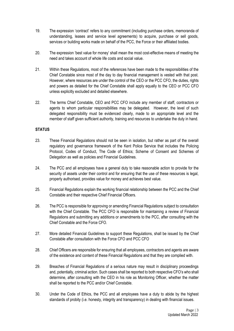- 19. The expression 'contract' refers to any commitment (including purchase orders, memoranda of understanding, leases and service level agreements) to acquire, purchase or sell goods, services or building works made on behalf of the PCC, the Force or their affiliated bodies.
- 20. The expression 'best value for money' shall mean the most cost-effective means of meeting the need and takes account of whole life costs and social value.
- 21. Within these Regulations, most of the references have been made to the responsibilities of the Chief Constable since most of the day to day financial management is vested with that post. However, where resources are under the control of the CEO or the PCC CFO, the duties, rights and powers as detailed for the Chief Constable shall apply equally to the CEO or PCC CFO unless explicitly excluded and detailed elsewhere.
- 22. The terms Chief Constable, CEO and PCC CFO include any member of staff, contractors or agents to whom particular responsibilities may be delegated. However, the level of such delegated responsibility must be evidenced clearly, made to an appropriate level and the member of staff given sufficient authority, training and resources to undertake the duty in hand.

# **STATUS**

- 23. These Financial Regulations should not be seen in isolation, but rather as part of the overall regulatory and governance framework of the Kent Police Service that includes the Policing Protocol, Codes of Conduct, The Code of Ethics; Scheme of Consent and Schemes of Delegation as well as policies and Financial Guidelines.
- 24. The PCC and all employees have a general duty to take reasonable action to provide for the security of assets under their control and for ensuring that the use of these resources is legal, properly authorised, provides value for money and achieves best value.
- 25. Financial Regulations explain the working financial relationship between the PCC and the Chief Constable and their respective Chief Financial Officers.
- 26. The PCC is responsible for approving or amending Financial Regulations subject to consultation with the Chief Constable. The PCC CFO is responsible for maintaining a review of Financial Regulations and submitting any additions or amendments to the PCC, after consulting with the Chief Constable and the Force CFO.
- 27. More detailed Financial Guidelines to support these Regulations, shall be issued by the Chief Constable after consultation with the Force CFO and PCC CFO
- 28. Chief Officers are responsible for ensuring that all employees, contractors and agents are aware of the existence and content of these Financial Regulations and that they are complied with.
- 29. Breaches of Financial Regulations of a serious nature may result in disciplinary proceedings and, potentially, criminal action. Such cases shall be reported to both respective CFO's who shall determine, after consulting with the CEO in his role as Monitoring Officer, whether the matter shall be reported to the PCC and/or Chief Constable.
- 30. Under the Code of Ethics, the PCC and all employees have a duty to abide by the highest standards of probity (i.e. honesty, integrity and transparency) in dealing with financial issues.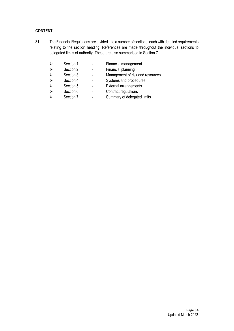# **CONTENT**

31. The Financial Regulations are divided into a number of sections, each with detailed requirements relating to the section heading. References are made throughout the individual sections to delegated limits of authority. These are also summarised in Section 7.

| $\triangleright$      | Section 1 | Financial management             |
|-----------------------|-----------|----------------------------------|
| $\blacktriangleright$ | Section 2 | Financial planning               |
| $\triangleright$      | Section 3 | Management of risk and resources |
| $\triangleright$      | Section 4 | Systems and procedures           |
| $\triangleright$      | Section 5 | <b>External arrangements</b>     |
| $\blacktriangleright$ | Section 6 | Contract regulations             |
| $\triangleright$      | Section 7 | Summary of delegated limits      |

Page | 4 Updated March 2022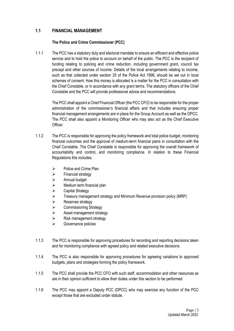# **1.1 FINANCIAL MANAGEMENT**

# **The Police and Crime Commissioner (PCC)**

1.1.1 The PCC has a statutory duty and electoral mandate to ensure an efficient and effective police service and to hold the police to account on behalf of the public. The PCC is the recipient of funding relating to policing and crime reduction, including government grant, council tax precept and other sources of income. Details of the local arrangements relating to income, such as that collected under section 25 of the Police Act 1996, should be set out in local schemes of consent. How this money is allocated is a matter for the PCC in consultation with the Chief Constable, or in accordance with any grant terms. The statutory officers of the Chief Constable and the PCC will provide professional advice and recommendations.

> The PCC shall appoint a Chief Financial Officer (the PCC CFO) to be responsible for the proper administration of the commissioner's financial affairs and that includes ensuring proper financial management arrangements are in place for the Group Account as well as the OPCC. The PCC shall also appoint a Monitoring Officer who may also act as the Chief Executive Officer.

- 1.1.2 The PCC is responsible for approving the policy framework and total police budget, monitoring financial outcomes and the approval of medium-term financial plans in consultation with the Chief Constable. The Chief Constable is responsible for approving the overall framework of accountability and control, and monitoring compliance. In relation to these Financial Regulations this includes:
	- ➢ Police and Crime Plan
	- ➢ Financial strategy
	- ➢ Annual budget
	- $\triangleright$  Medium term financial plan
	- ➢ Capital Strategy
	- ➢ Treasury management strategy and Minimum Revenue provision policy (MRP)
	- ➢ Reserves strategy
	- ➢ Commissioning Strategy
	- ➢ Asset management strategy
	- ➢ Risk management strategy
	- ➢ Governance policies
- 1.1.3 The PCC is responsible for approving procedures for recording and reporting decisions taken and for monitoring compliance with agreed policy and related executive decisions.
- 1.1.4 The PCC is also responsible for approving procedures for agreeing variations to approved budgets, plans and strategies forming the policy framework.
- 1.1.5 The PCC shall provide the PCC CFO with such staff, accommodation and other resources as are in their opinion sufficient to allow their duties under this section to be performed
- 1.1.6 The PCC may appoint a Deputy PCC (DPCC) who may exercise any function of the PCC except those that are excluded under statute.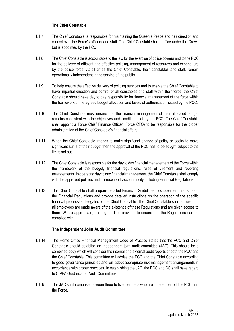# **The Chief Constable**

- 1.1.7 The Chief Constable is responsible for maintaining the Queen's Peace and has direction and control over the Force's officers and staff. The Chief Constable holds office under the Crown but is appointed by the PCC.
- 1.1.8 The Chief Constable is accountable to the law for the exercise of police powers and to the PCC for the delivery of efficient and effective policing, management of resources and expenditure by the police force. At all times the Chief Constable, their constables and staff, remain operationally independent in the service of the public.
- 1.1.9 To help ensure the effective delivery of policing services and to enable the Chief Constable to have impartial direction and control of all constables and staff within their force, the Chief Constable should have day to day responsibility for financial management of the force within the framework of the agreed budget allocation and levels of authorisation issued by the PCC.
- 1.1.10 The Chief Constable must ensure that the financial management of their allocated budget remains consistent with the objectives and conditions set by the PCC. The Chief Constable shall appoint a Force Chief Finance Officer (Force CFO) to be responsible for the proper administration of the Chief Constable's financial affairs.
- 1.1.11 When the Chief Constable intends to make significant change of policy or seeks to move significant sums of their budget then the approval of the PCC has to be sought subject to the limits set out.
- 1.1.12 The Chief Constable is responsible for the day to day financial management of the Force within the framework of the budget, financial regulations, rules of virement and reporting arrangements. In operating day to day financial management, the Chief Constable shall comply with the approved policies and framework of accountability including Financial Regulations.
- 1.1.13 The Chief Constable shall prepare detailed Financial Guidelines to supplement and support the Financial Regulations and provide detailed instructions on the operation of the specific financial processes delegated to the Chief Constable. The Chief Constable shall ensure that all employees are made aware of the existence of these Regulations and are given access to them. Where appropriate, training shall be provided to ensure that the Regulations can be complied with.

# **The Independent Joint Audit Committee**

- 1.1.14 The Home Office Financial Management Code of Practice states that the PCC and Chief Constable should establish an independent joint audit committee (JAC). This should be a combined body which will consider the internal and external audit reports of both the PCC and the Chief Constable. This committee will advise the PCC and the Chief Constable according to good governance principles and will adopt appropriate risk management arrangements in accordance with proper practices. In establishing the JAC, the PCC and CC shall have regard to CIPFA Guidance on Audit Committees
- 1.1.15 The JAC shall comprise between three to five members who are independent of the PCC and the Force.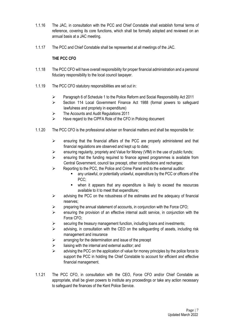- 1.1.16 The JAC, in consultation with the PCC and Chief Constable shall establish formal terms of reference, covering its core functions, which shall be formally adopted and reviewed on an annual basis at a JAC meeting.
- 1.1.17 The PCC and Chief Constable shall be represented at all meetings of the JAC.

# **THE PCC CFO**

- 1.1.18 The PCC CFO will have overall responsibility for proper financial administration and a personal fiduciary responsibility to the local council taxpayer.
- 1.1.19 The PCC CFO statutory responsibilities are set out in:
	- ➢ Paragraph 6 of Schedule 1 to the Police Reform and Social Responsibility Act 2011
	- ➢ Section 114 Local Government Finance Act 1988 (formal powers to safeguard lawfulness and propriety in expenditure)
	- ➢ The Accounts and Audit Regulations 2011
	- ➢ Have regard to the CIPFA Role of the CFO in Policing document
- 1.1.20 The PCC CFO is the professional adviser on financial matters and shall be responsible for:
	- $\triangleright$  ensuring that the financial affairs of the PCC are properly administered and that financial regulations are observed and kept up to date;
	- ➢ ensuring regularity, propriety and Value for Money (VfM) in the use of public funds;
	- $\triangleright$  ensuring that the funding required to finance agreed programmes is available from Central Government, council tax precept, other contributions and recharges;
	- ➢ Reporting to the PCC, the Police and Crime Panel and to the external auditor:
		- any unlawful, or potentially unlawful, expenditure by the PCC or officers of the PCC:
		- when it appears that any expenditure is likely to exceed the resources available to it to meet that expenditure;
	- $\triangleright$  advising the PCC on the robustness of the estimates and the adequacy of financial reserves;
	- $\triangleright$  preparing the annual statement of accounts, in conjunction with the Force CFO;
	- $\triangleright$  ensuring the provision of an effective internal audit service, in conjunction with the Force CFO;
	- $\triangleright$  securing the treasury management function, including loans and investments;
	- $\triangleright$  advising, in consultation with the CEO on the safeguarding of assets, including risk management and insurance
	- $\triangleright$  arranging for the determination and issue of the precept
	- $\triangleright$  liaising with the internal and external auditor; and
	- $\triangleright$  advising the PCC on the application of value for money principles by the police force to support the PCC in holding the Chief Constable to account for efficient and effective financial management.
- 1.1.21 The PCC CFO, in consultation with the CEO, Force CFO and/or Chief Constable as appropriate, shall be given powers to institute any proceedings or take any action necessary to safeguard the finances of the Kent Police Service.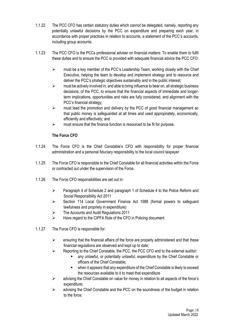- 1.1.22 The PCC CFO has certain statutory duties which cannot be delegated, namely, reporting any potentially unlawful decisions by the PCC on expenditure and preparing each year, in accordance with proper practices in relation to accounts, a statement of the PCC's accounts, including group accounts.
- 1.1.23 The PCC CFO is the PCCs professional adviser on financial matters. To enable them to fulfil these duties and to ensure the PCC is provided with adequate financial advice the PCC CFO:
	- $\triangleright$  must be a key member of the PCC's Leadership Team, working closely with the Chief Executive, helping the team to develop and implement strategy and to resource and deliver the PCC's strategic objectives sustainably and in the public interest;
	- $\triangleright$  must be actively involved in, and able to bring influence to bear on, all strategic business decisions, of the PCC, to ensure that the financial aspects of immediate and longerterm implications, opportunities and risks are fully considered, and alignment with the PCC's financial strategy;
	- $\triangleright$  must lead the promotion and delivery by the PCC of good financial management so that public money is safeguarded at all times and used appropriately, economically, efficiently and effectively; and
	- $\triangleright$  must ensure that the finance function is resourced to be fit for purpose.

# **The Force CFO**

- 1.1.24 The Force CFO is the Chief Constable's CFO with responsibility for proper financial administration and a personal fiduciary responsibility to the local council taxpayer
- 1.1.25 The Force CFO is responsible to the Chief Constable for all financial activities within the Force or contracted out under the supervision of the Force.
- 1.1.26 The Force CFO responsibilities are set out in:
	- ➢ Paragraph 4 of Schedule 2 and paragraph 1 of Schedule 4 to the Police Reform and Social Responsibility Act 2011
	- ➢ Section 114 Local Government Finance Act 1988 (formal powers to safeguard lawfulness and propriety in expenditure)
	- ➢ The Accounts and Audit Regulations 2011
	- ➢ Have regard to the CIPFA Role of the CFO in Policing document
- 1.1.27 The Force CFO is responsible for:
	- $\triangleright$  ensuring that the financial affairs of the force are properly administered and that these financial regulations are observed and kept up to date;
	- ➢ Reporting to the Chief Constable, the PCC, the PCC CFO and to the external auditor:
		- any unlawful, or potentially unlawful, expenditure by the Chief Constable or officers of the Chief Constable;
		- when it appears that any expenditure of the Chief Constable is likely to exceed the resources available to it to meet that expenditure
	- ➢ advising the Chief Constable on value for money in relation to all aspects of the force's expenditure;
	- $\triangleright$  advising the Chief Constable and the PCC on the soundness of the budget in relation to the force;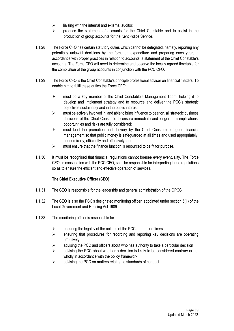- $\triangleright$  liaising with the internal and external auditor:
- $\triangleright$  produce the statement of accounts for the Chief Constable and to assist in the production of group accounts for the Kent Police Service.
- 1.1.28 The Force CFO has certain statutory duties which cannot be delegated, namely, reporting any potentially unlawful decisions by the force on expenditure and preparing each year, in accordance with proper practices in relation to accounts, a statement of the Chief Constable's accounts. The Force CFO will need to determine and observe the locally agreed timetable for the compilation of the group accounts in conjunction with the PCC CFO.
- 1.1.29 The Force CFO is the Chief Constable's principle professional adviser on financial matters. To enable him to fulfil these duties the Force CFO:
	- ➢ must be a key member of the Chief Constable's Management Team, helping it to develop and implement strategy and to resource and deliver the PCC's strategic objectives sustainably and in the public interest;
	- $\triangleright$  must be actively involved in, and able to bring influence to bear on, all strategic business decisions of the Chief Constable to ensure immediate and longer-term implications, opportunities and risks are fully considered;
	- ➢ must lead the promotion and delivery by the Chief Constable of good financial management so that public money is safeguarded at all times and used appropriately, economically, efficiently and effectively; and
	- $\triangleright$  must ensure that the finance function is resourced to be fit for purpose.
- 1.1.30 It must be recognised that financial regulations cannot foresee every eventuality. The Force CFO, in consultation with the PCC CFO, shall be responsible for interpreting these regulations so as to ensure the efficient and effective operation of services.

# **The Chief Executive Officer (CEO)**

- 1.1.31 The CEO is responsible for the leadership and general administration of the OPCC
- 1.1.32 The CEO is also the PCC's designated monitoring officer, appointed under section 5(1) of the Local Government and Housing Act 1989.
- 1.1.33 The monitoring officer is responsible for:
	- $\triangleright$  ensuring the legality of the actions of the PCC and their officers.
	- ➢ ensuring that procedures for recording and reporting key decisions are operating effectively
	- $\triangleright$  advising the PCC and officers about who has authority to take a particular decision
	- $\triangleright$  advising the PCC about whether a decision is likely to be considered contrary or not wholly in accordance with the policy framework
	- $\triangleright$  advising the PCC on matters relating to standards of conduct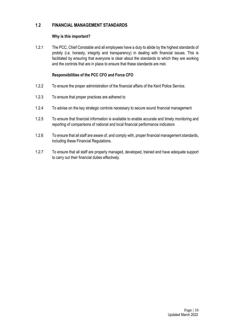# **1**.**2 FINANCIAL MANAGEMENT STANDARDS**

# **Why is this important?**

1.2.1 The PCC, Chief Constable and all employees have a duty to abide by the highest standards of probity (i.e. honesty, integrity and transparency) in dealing with financial issues. This is facilitated by ensuring that everyone is clear about the standards to which they are working and the controls that are in place to ensure that these standards are met.

# **Responsibilities of the PCC CFO and Force CFO**

- 1.2.2 To ensure the proper administration of the financial affairs of the Kent Police Service.
- 1.2.3 To ensure that proper practices are adhered to
- 1.2.4 To advise on the key strategic controls necessary to secure sound financial management
- 1.2.5 To ensure that financial information is available to enable accurate and timely monitoring and reporting of comparisons of national and local financial performance indicators
- 1.2.6 To ensure that all staff are aware of, and comply with, proper financial management standards, including these Financial Regulations.
- 1.2.7 To ensure that all staff are properly managed, developed, trained and have adequate support to carry out their financial duties effectively.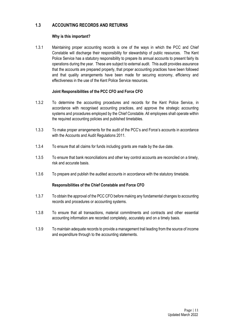# **1.3 ACCOUNTING RECORDS AND RETURNS**

# **Why is this important?**

1.3.1 Maintaining proper accounting records is one of the ways in which the PCC and Chief Constable will discharge their responsibility for stewardship of public resources. The Kent Police Service has a statutory responsibility to prepare its annual accounts to present fairly its operations during the year. These are subject to external audit. This audit provides assurance that the accounts are prepared properly, that proper accounting practices have been followed and that quality arrangements have been made for securing economy, efficiency and effectiveness in the use of the Kent Police Service resources.

# **Joint Responsibilities of the PCC CFO and Force CFO**

- 1.3.2 To determine the accounting procedures and records for the Kent Police Service, in accordance with recognised accounting practices, and approve the strategic accounting systems and procedures employed by the Chief Constable. All employees shall operate within the required accounting policies and published timetables.
- 1.3.3 To make proper arrangements for the audit of the PCC's and Force's accounts in accordance with the Accounts and Audit Regulations 2011.
- 1.3.4 To ensure that all claims for funds including grants are made by the due date.
- 1.3.5 To ensure that bank reconciliations and other key control accounts are reconciled on a timely, risk and accurate basis.
- 1.3.6 To prepare and publish the audited accounts in accordance with the statutory timetable.

# **Responsibilities of the Chief Constable and Force CFO**

- 1.3.7 To obtain the approval of the PCC CFO before making any fundamental changes to accounting records and procedures or accounting systems.
- 1.3.8 To ensure that all transactions, material commitments and contracts and other essential accounting information are recorded completely, accurately and on a timely basis.
- 1.3.9 To maintain adequate records to provide a management trail leading from the source of income and expenditure through to the accounting statements.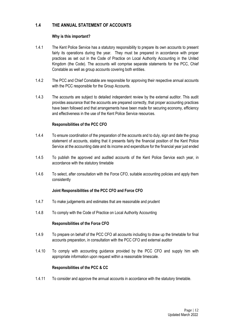# **1.4 THE ANNUAL STATEMENT OF ACCOUNTS**

# **Why is this important?**

- 1.4.1 The Kent Police Service has a statutory responsibility to prepare its own accounts to present fairly its operations during the year. They must be prepared in accordance with proper practices as set out in the Code of Practice on Local Authority Accounting in the United Kingdom (the Code). The accounts will comprise separate statements for the PCC, Chief Constable as well as group accounts covering both entities.
- 1.4.2 The PCC and Chief Constable are responsible for approving their respective annual accounts with the PCC responsible for the Group Accounts.
- 1.4.3 The accounts are subject to detailed independent review by the external auditor. This audit provides assurance that the accounts are prepared correctly, that proper accounting practices have been followed and that arrangements have been made for securing economy, efficiency and effectiveness in the use of the Kent Police Service resources.

# **Responsibilities of the PCC CFO**

- 1.4.4 To ensure coordination of the preparation of the accounts and to duly, sign and date the group statement of accounts, stating that it presents fairly the financial position of the Kent Police Service at the accounting date and its income and expenditure for the financial year just ended
- 1.4.5 To publish the approved and audited accounts of the Kent Police Service each year, in accordance with the statutory timetable
- 1.4.6 To select, after consultation with the Force CFO, suitable accounting policies and apply them consistently

# **Joint Responsibilities of the PCC CFO and Force CFO**

- 1.4.7 To make judgements and estimates that are reasonable and prudent
- 1.4.8 To comply with the Code of Practice on Local Authority Accounting

# **Responsibilities of the Force CFO**

- 1.4.9 To prepare on behalf of the PCC CFO all accounts including to draw up the timetable for final accounts preparation, in consultation with the PCC CFO and external auditor
- 1.4.10 To comply with accounting guidance provided by the PCC CFO and supply him with appropriate information upon request within a reasonable timescale.

# **Responsibilities of the PCC & CC**

1.4.11 To consider and approve the annual accounts in accordance with the statutory timetable.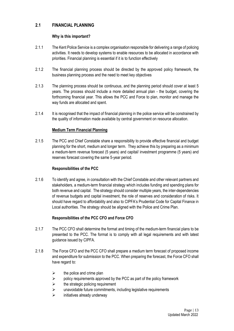# **2.1 FINANCIAL PLANNING**

# **Why is this important?**

- 2.1.1 The Kent Police Service is a complex organisation responsible for delivering a range of policing activities. It needs to develop systems to enable resources to be allocated in accordance with priorities. Financial planning is essential if it is to function effectively
- 2.1.2 The financial planning process should be directed by the approved policy framework, the business planning process and the need to meet key objectives
- 2.1.3 The planning process should be continuous, and the planning period should cover at least 5 years. The process should include a more detailed annual plan - the budget, covering the forthcoming financial year. This allows the PCC and Force to plan, monitor and manage the way funds are allocated and spent.
- 2.1.4 It is recognised that the impact of financial planning in the police service will be constrained by the quality of information made available by central government on resource allocation.

# **Medium Term Financial Planning**

2.1.5 The PCC and Chief Constable share a responsibility to provide effective financial and budget planning for the short, medium and longer term. They achieve this by preparing as a minimum a medium-term revenue forecast (5 years) and capital/ investment programme (5 years) and reserves forecast covering the same 5-year period.

# **Responsibilities of the PCC**

2.1.6 To identify and agree, in consultation with the Chief Constable and other relevant partners and stakeholders, a medium-term financial strategy which includes funding and spending plans for both revenue and capital. The strategy should consider multiple years, the inter-dependencies of revenue budgets and capital investment, the role of reserves and consideration of risks. It should have regard to affordability and also to CIPFA's Prudential Code for Capital Finance in Local authorities. The strategy should be aligned with the Police and Crime Plan.

# **Responsibilities of the PCC CFO and Force CFO**

- 2.1.7 The PCC CFO shall determine the format and timing of the medium-term financial plans to be presented to the PCC. The format is to comply with all legal requirements and with latest guidance issued by CIPFA.
- 2.1.8 The Force CFO and the PCC CFO shall prepare a medium term forecast of proposed income and expenditure for submission to the PCC. When preparing the forecast, the Force CFO shall have regard to:
	- $\triangleright$  the police and crime plan
	- $\triangleright$  policy requirements approved by the PCC as part of the policy framework
	- $\triangleright$  the strategic policing requirement
	- $\triangleright$  unavoidable future commitments, including legislative requirements
	- $\triangleright$  initiatives already underway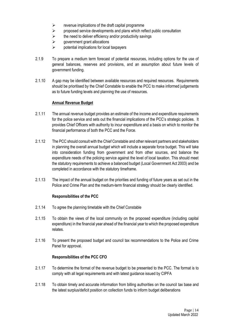- $\triangleright$  revenue implications of the draft capital programme
- $\triangleright$  proposed service developments and plans which reflect public consultation
- $\triangleright$  the need to deliver efficiency and/or productivity savings
- $\triangleright$  government grant allocations
- $\triangleright$  potential implications for local taxpayers
- 2.1.9 To prepare a medium term forecast of potential resources, including options for the use of general balances, reserves and provisions, and an assumption about future levels of government funding.
- 2.1.10 A gap may be identified between available resources and required resources. Requirements should be prioritised by the Chief Constable to enable the PCC to make informed judgements as to future funding levels and planning the use of resources.

# **Annual Revenue Budget**

- 2.1.11 The annual revenue budget provides an estimate of the income and expenditure requirements for the police service and sets out the financial implications of the PCC's strategic policies. It provides Chief Officers with authority to incur expenditure and a basis on which to monitor the financial performance of both the PCC and the Force.
- 2.1.12 The PCC should consult with the Chief Constable and other relevant partners and stakeholders in planning the overall annual budget which will include a separate force budget. This will take into consideration funding from government and from other sources, and balance the expenditure needs of the policing service against the level of local taxation. This should meet the statutory requirements to achieve a balanced budget (Local Government Act 2003) and be completed in accordance with the statutory timeframe.
- 2.1.13 The impact of the annual budget on the priorities and funding of future years as set out in the Police and Crime Plan and the medium-term financial strategy should be clearly identified.

# **Responsibilities of the PCC**

- 2.1.14 To agree the planning timetable with the Chief Constable
- 2.1.15 To obtain the views of the local community on the proposed expenditure (including capital expenditure) in the financial year ahead of the financial year to which the proposed expenditure relates.
- 2.1.16 To present the proposed budget and council tax recommendations to the Police and Crime Panel for approval.

# **Responsibilities of the PCC CFO**

- 2.1.17 To determine the format of the revenue budget to be presented to the PCC. The format is to comply with all legal requirements and with latest guidance issued by CIPFA
- 2.1.18 To obtain timely and accurate information from billing authorities on the council tax base and the latest surplus/deficit position on collection funds to inform budget deliberations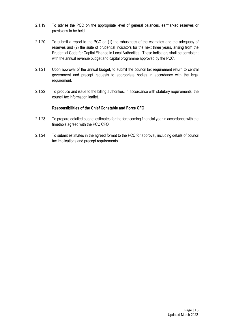- 2.1.19 To advise the PCC on the appropriate level of general balances, earmarked reserves or provisions to be held.
- 2.1.20 To submit a report to the PCC on (1) the robustness of the estimates and the adequacy of reserves and (2) the suite of prudential indicators for the next three years, arising from the Prudential Code for Capital Finance in Local Authorities. These indicators shall be consistent with the annual revenue budget and capital programme approved by the PCC.
- 2.1.21 Upon approval of the annual budget, to submit the council tax requirement return to central government and precept requests to appropriate bodies in accordance with the legal requirement.
- 2.1.22 To produce and issue to the billing authorities, in accordance with statutory requirements, the council tax information leaflet.

# **Responsibilities of the Chief Constable and Force CFO**

- 2.1.23 To prepare detailed budget estimates for the forthcoming financial year in accordance with the timetable agreed with the PCC CFO.
- 2.1.24 To submit estimates in the agreed format to the PCC for approval, including details of council tax implications and precept requirements.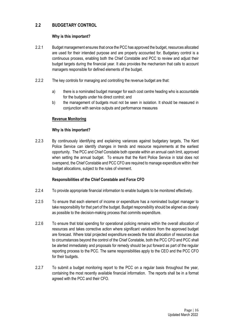# **2.2 BUDGETARY CONTROL**

# **Why is this important?**

- 2.2.1 Budget management ensures that once the PCC has approved the budget, resources allocated are used for their intended purpose and are properly accounted for. Budgetary control is a continuous process, enabling both the Chief Constable and PCC to review and adjust their budget targets during the financial year. It also provides the mechanism that calls to account managers responsible for defined elements of the budget.
- 2.2.2 The key controls for managing and controlling the revenue budget are that:
	- a) there is a nominated budget manager for each cost centre heading who is accountable for the budgets under his direct control; and
	- b) the management of budgets must not be seen in isolation. It should be measured in conjunction with service outputs and performance measures

# **Revenue Monitoring**

# **Why is this important?**

2.2.3 By continuously identifying and explaining variances against budgetary targets. The Kent Police Service can identify changes in trends and resource requirements at the earliest opportunity. The PCC and Chief Constable both operate within an annual cash limit, approved when setting the annual budget. To ensure that the Kent Police Service in total does not overspend, the Chief Constable and PCC CFO are required to manage expenditure within their budget allocations, subject to the rules of virement.

# **Responsibilities of the Chief Constable and Force CFO**

- 2.2.4 To provide appropriate financial information to enable budgets to be monitored effectively.
- 2.2.5 To ensure that each element of income or expenditure has a nominated budget manager to take responsibility for that part of the budget. Budget responsibility should be aligned as closely as possible to the decision-making process that commits expenditure.
- 2.2.6 To ensure that total spending for operational policing remains within the overall allocation of resources and takes corrective action where significant variations from the approved budget are forecast. Where total projected expenditure exceeds the total allocation of resources due to circumstances beyond the control of the Chief Constable, both the PCC CFO and PCC shall be alerted immediately and proposals for remedy should be put forward as part of the regular reporting process to the PCC. The same responsibilities apply to the CEO and the PCC CFO for their budgets.
- 2.2.7 To submit a budget monitoring report to the PCC on a regular basis throughout the year, containing the most recently available financial information. The reports shall be in a format agreed with the PCC and their CFO.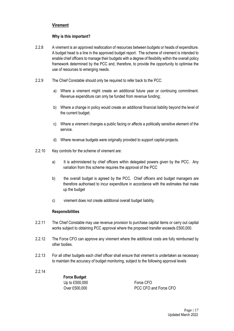# **Virement**

# **Why is this important?**

- 2.2.8 A virement is an approved reallocation of resources between budgets or heads of expenditure. A budget head is a line in the approved budget report. The scheme of virement is intended to enable chief officers to manage their budgets with a degree of flexibility within the overall policy framework determined by the PCC and, therefore, to provide the opportunity to optimise the use of resources to emerging needs.
- 2.2.9 The Chief Constable should only be required to refer back to the PCC:
	- a) Where a virement might create an additional future year or continuing commitment. Revenue expenditure can only be funded from revenue funding;
	- b) Where a change in policy would create an additional financial liability beyond the level of the current budget;
	- c) Where a virement changes a public facing or affects a politically sensitive element of the service.
	- d) Where revenue budgets were originally provided to support capital projects.
- 2.2.10 Key controls for the scheme of virement are:
	- a) It is administered by chief officers within delegated powers given by the PCC. Any variation from this scheme requires the approval of the PCC
	- b) the overall budget is agreed by the PCC. Chief officers and budget managers are therefore authorised to incur expenditure in accordance with the estimates that make up the budget
	- c) virement does not create additional overall budget liability.

#### **Responsibilities**

- 2.2.11 The Chief Constable may use revenue provision to purchase capital items or carry out capital works subject to obtaining PCC approval where the proposed transfer exceeds £500,000.
- 2.2.12 The Force CFO can approve any virement where the additional costs are fully reimbursed by other bodies.
- 2.2.13 For all other budgets each chief officer shall ensure that virement is undertaken as necessary to maintain the accuracy of budget monitoring, subject to the following approval levels
- 2.2.14

**Force Budget** Up to £500,000 Force CFO

Over £500,000 PCC CFO and Force CFO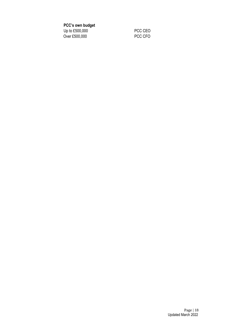**PCC's own budget**

Up to £500,000<br>Over £500,000 PCC CFO Over  $£500,000$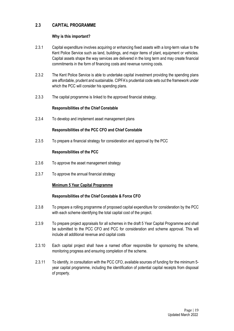# **2.3 CAPITAL PROGRAMME**

# **Why is this important?**

- 2.3.1 Capital expenditure involves acquiring or enhancing fixed assets with a long-term value to the Kent Police Service such as land, buildings, and major items of plant, equipment or vehicles. Capital assets shape the way services are delivered in the long term and may create financial commitments in the form of financing costs and revenue running costs.
- 2.3.2 The Kent Police Service is able to undertake capital investment providing the spending plans are affordable, prudent and sustainable. CIPFA's prudential code sets out the framework under which the PCC will consider his spending plans.
- 2.3.3 The capital programme is linked to the approved financial strategy.

# **Responsibilities of the Chief Constable**

2.3.4 To develop and implement asset management plans

# **Responsibilities of the PCC CFO and Chief Constable**

2.3.5 To prepare a financial strategy for consideration and approval by the PCC

# **Responsibilities of the PCC**

- 2.3.6 To approve the asset management strategy
- 2.3.7 To approve the annual financial strategy

# **Minimum 5 Year Capital Programme**

# **Responsibilities of the Chief Constable & Force CFO**

- 2.3.8 To prepare a rolling programme of proposed capital expenditure for consideration by the PCC with each scheme identifying the total capital cost of the project.
- 2.3.9 To prepare project appraisals for all schemes in the draft 5 Year Capital Programme and shall be submitted to the PCC CFO and PCC for consideration and scheme approval. This will include all additional revenue and capital costs
- 2.3.10 Each capital project shall have a named officer responsible for sponsoring the scheme, monitoring progress and ensuring completion of the scheme.
- 2.3.11 To identify, in consultation with the PCC CFO, available sources of funding for the minimum 5 year capital programme, including the identification of potential capital receipts from disposal of property.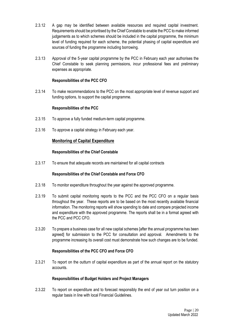- 2.3.12 A gap may be identified between available resources and required capital investment. Requirements should be prioritised by the Chief Constable to enable the PCC to make informed judgements as to which schemes should be included in the capital programme, the minimum level of funding required for each scheme, the potential phasing of capital expenditure and sources of funding the programme including borrowing.
- 2.3.13 Approval of the 5-year capital programme by the PCC in February each year authorises the Chief Constable to seek planning permissions, incur professional fees and preliminary expenses as appropriate.

## **Responsibilities of the PCC CFO**

2.3.14 To make recommendations to the PCC on the most appropriate level of revenue support and funding options, to support the capital programme.

#### **Responsibilities of the PCC**

- 2.3.15 To approve a fully funded medium-term capital programme.
- 2.3.16 To approve a capital strategy in February each year.

# **Monitoring of Capital Expenditure**

#### **Responsibilities of the Chief Constable**

2.3.17 To ensure that adequate records are maintained for all capital contracts

#### **Responsibilities of the Chief Constable and Force CFO**

- 2.3.18 To monitor expenditure throughout the year against the approved programme.
- 2.3.19 To submit capital monitoring reports to the PCC and the PCC CFO on a regular basis throughout the year. These reports are to be based on the most recently available financial information. The monitoring reports will show spending to date and compare projected income and expenditure with the approved programme. The reports shall be in a format agreed with the PCC and PCC CFO.
- 2.3.20 To prepare a business case for all new capital schemes [after the annual programme has been agreed] for submission to the PCC for consultation and approval. Amendments to the programme increasing its overall cost must demonstrate how such changes are to be funded.

#### **Responsibilities of the PCC CFO and Force CFO**

2.3.21 To report on the outturn of capital expenditure as part of the annual report on the statutory accounts.

#### **Responsibilities of Budget Holders and Project Managers**

2.3.22 To report on expenditure and to forecast responsibly the end of year out turn position on a regular basis in line with local Financial Guidelines.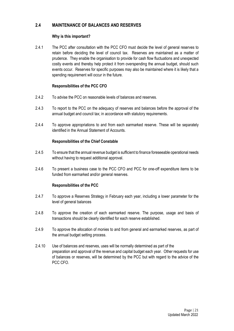# **2.4 MAINTENANCE OF BALANCES AND RESERVES**

# **Why is this important?**

2.4.1 The PCC after consultation with the PCC CFO must decide the level of general reserves to retain before deciding the level of council tax. Reserves are maintained as a matter of prudence. They enable the organisation to provide for cash flow fluctuations and unexpected costly events and thereby help protect it from overspending the annual budget, should such events occur. Reserves for specific purposes may also be maintained where it is likely that a spending requirement will occur in the future.

# **Responsibilities of the PCC CFO**

- 2.4.2 To advise the PCC on reasonable levels of balances and reserves.
- 2.4.3 To report to the PCC on the adequacy of reserves and balances before the approval of the annual budget and council tax; in accordance with statutory requirements.
- 2.4.4 To approve appropriations to and from each earmarked reserve. These will be separately identified in the Annual Statement of Accounts.

# **Responsibilities of the Chief Constable**

- 2.4.5 To ensure that the annual revenue budget is sufficient to finance foreseeable operational needs without having to request additional approval.
- 2.4.6 To present a business case to the PCC CFO and PCC for one-off expenditure items to be funded from earmarked and/or general reserves.

# **Responsibilities of the PCC**

- 2.4.7 To approve a Reserves Strategy in February each year, including a lower parameter for the level of general balances
- 2.4.8 To approve the creation of each earmarked reserve. The purpose, usage and basis of transactions should be clearly identified for each reserve established.
- 2.4.9 To approve the allocation of monies to and from general and earmarked reserves, as part of the annual budget setting process.
- 2.4.10 Use of balances and reserves, uses will be normally determined as part of the preparation and approval of the revenue and capital budget each year. Other requests for use of balances or reserves, will be determined by the PCC but with regard to the advice of the PCC CFO.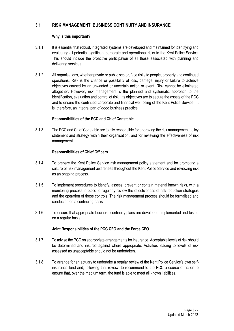# **3.1 RISK MANAGEMENT, BUSINESS CONTINUITY AND INSURANCE**

# **Why is this important?**

- 3.1.1 It is essential that robust, integrated systems are developed and maintained for identifying and evaluating all potential significant corporate and operational risks to the Kent Police Service. This should include the proactive participation of all those associated with planning and delivering services.
- 3.1.2 All organisations, whether private or public sector, face risks to people, property and continued operations. Risk is the chance or possibility of loss, damage, injury or failure to achieve objectives caused by an unwanted or uncertain action or event. Risk cannot be eliminated altogether. However, risk management is the planned and systematic approach to the identification, evaluation and control of risk. Its objectives are to secure the assets of the PCC and to ensure the continued corporate and financial well-being of the Kent Police Service. It is, therefore, an integral part of good business practice.

# **Responsibilities of the PCC and Chief Constable**

3.1.3 The PCC and Chief Constable are jointly responsible for approving the risk management policy statement and strategy within their organisation, and for reviewing the effectiveness of risk management.

# **Responsibilities of Chief Officers**

- 3.1.4 To prepare the Kent Police Service risk management policy statement and for promoting a culture of risk management awareness throughout the Kent Police Service and reviewing risk as an ongoing process.
- 3.1.5 To implement procedures to identify, assess, prevent or contain material known risks, with a monitoring process in place to regularly review the effectiveness of risk reduction strategies and the operation of these controls. The risk management process should be formalised and conducted on a continuing basis
- 3.1.6 To ensure that appropriate business continuity plans are developed, implemented and tested on a regular basis

# **Joint Responsibilities of the PCC CFO and the Force CFO**

- 3.1.7 To advise the PCC on appropriate arrangements for insurance. Acceptable levels of risk should be determined and insured against where appropriate. Activities leading to levels of risk assessed as unacceptable should not be undertaken.
- 3.1.8 To arrange for an actuary to undertake a regular review of the Kent Police Service's own selfinsurance fund and, following that review, to recommend to the PCC a course of action to ensure that, over the medium term, the fund is able to meet all known liabilities.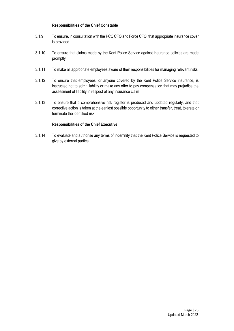# **Responsibilities of the Chief Constable**

- 3.1.9 To ensure, in consultation with the PCC CFO and Force CFO, that appropriate insurance cover is provided.
- 3.1.10 To ensure that claims made by the Kent Police Service against insurance policies are made promptly
- 3.1.11 To make all appropriate employees aware of their responsibilities for managing relevant risks
- 3.1.12 To ensure that employees, or anyone covered by the Kent Police Service insurance, is instructed not to admit liability or make any offer to pay compensation that may prejudice the assessment of liability in respect of any insurance claim
- 3.1.13 To ensure that a comprehensive risk register is produced and updated regularly, and that corrective action is taken at the earliest possible opportunity to either transfer, treat, tolerate or terminate the identified risk

# **Responsibilities of the Chief Executive**

3.1.14 To evaluate and authorise any terms of indemnity that the Kent Police Service is requested to give by external parties.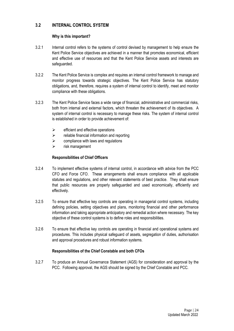# **3.2 INTERNAL CONTROL SYSTEM**

# **Why is this important?**

- 3.2.1 Internal control refers to the systems of control devised by management to help ensure the Kent Police Service objectives are achieved in a manner that promotes economical, efficient and effective use of resources and that the Kent Police Service assets and interests are safeguarded.
- 3.2.2 The Kent Police Service is complex and requires an internal control framework to manage and monitor progress towards strategic objectives. The Kent Police Service has statutory obligations, and, therefore, requires a system of internal control to identify, meet and monitor compliance with these obligations.
- 3.2.3 The Kent Police Service faces a wide range of financial, administrative and commercial risks, both from internal and external factors, which threaten the achievement of its objectives. A system of internal control is necessary to manage these risks. The system of internal control is established in order to provide achievement of:
	- $\triangleright$  efficient and effective operations
	- $\triangleright$  reliable financial information and reporting
	- $\triangleright$  compliance with laws and regulations
	- ➢ risk management

# **Responsibilities of Chief Officers**

- 3.2.4 To implement effective systems of internal control, in accordance with advice from the PCC CFO and Force CFO. These arrangements shall ensure compliance with all applicable statutes and regulations, and other relevant statements of best practice. They shall ensure that public resources are properly safeguarded and used economically, efficiently and effectively.
- 3.2.5 To ensure that effective key controls are operating in managerial control systems, including defining policies, setting objectives and plans, monitoring financial and other performance information and taking appropriate anticipatory and remedial action where necessary. The key objective of these control systems is to define roles and responsibilities.
- 3.2.6 To ensure that effective key controls are operating in financial and operational systems and procedures. This includes physical safeguard of assets, segregation of duties, authorisation and approval procedures and robust information systems.

# **Responsibilities of the Chief Constable and both CFOs**

3.2.7 To produce an Annual Governance Statement (AGS) for consideration and approval by the PCC. Following approval, the AGS should be signed by the Chief Constable and PCC.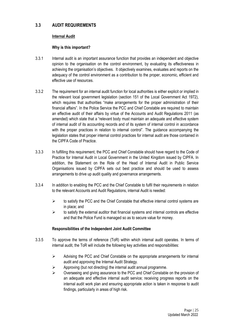# **3.3 AUDIT REQUIREMENTS**

#### **Internal Audit**

#### **Why is this important?**

- 3.3.1 Internal audit is an important assurance function that provides an independent and objective opinion to the organisation on the control environment, by evaluating its effectiveness in achieving the organisation's objectives. It objectively examines, evaluates and reports on the adequacy of the control environment as a contribution to the proper, economic, efficient and effective use of resources.
- 3.3.2 The requirement for an internal audit function for local authorities is either explicit or implied in the relevant local government legislation (section 151 of the Local Government Act 1972), which requires that authorities "make arrangements for the proper administration of their financial affairs". In the Police Service the PCC and Chief Constable are required to maintain an effective audit of their affairs by virtue of the Accounts and Audit Regulations 2011 (as amended) which state that a "relevant body must maintain an adequate and effective system of internal audit of its accounting records and of its system of internal control in accordance with the proper practices in relation to internal control". The guidance accompanying the legislation states that proper internal control practices for internal audit are those contained in the CIPFA Code of Practice.
- 3.3.3 In fulfilling this requirement, the PCC and Chief Constable should have regard to the Code of Practice for Internal Audit in Local Government in the United Kingdom issued by CIPFA. In addition, the Statement on the Role of the Head of Internal Audit in Public Service Organisations issued by CIPFA sets out best practice and should be used to assess arrangements to drive up audit quality and governance arrangements.
- 3.3.4 In addition to enabling the PCC and the Chief Constable to fulfil their requirements in relation to the relevant Accounts and Audit Regulations, internal Audit is needed:
	- $\triangleright$  to satisfy the PCC and the Chief Constable that effective internal control systems are in place; and
	- $\triangleright$  to satisfy the external auditor that financial systems and internal controls are effective and that the Police Fund is managed so as to secure value for money.

#### **Responsibilities of the Independent Joint Audit Committee**

- 3.3.5 To approve the terms of reference (ToR) within which internal audit operates. In terms of internal audit, the ToR will include the following key activities and responsibilities:
	- ➢ Advising the PCC and Chief Constable on the appropriate arrangements for internal audit and approving the Internal Audit Strategy.
	- $\triangleright$  Approving (but not directing) the internal audit annual programme.
	- ➢ Overseeing and giving assurance to the PCC and Chief Constable on the provision of an adequate and effective internal audit service; receiving progress reports on the internal audit work plan and ensuring appropriate action is taken in response to audit findings, particularly in areas of high risk.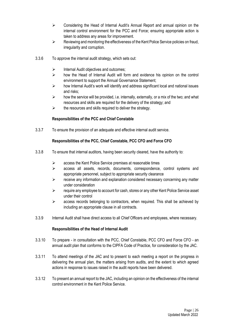- $\triangleright$  Considering the Head of Internal Audit's Annual Report and annual opinion on the internal control environment for the PCC and Force; ensuring appropriate action is taken to address any areas for improvement.
- ➢ Reviewing and monitoring the effectiveness of the Kent Police Service policies on fraud, irregularity and corruption.
- 3.3.6 To approve the internal audit strategy, which sets out:
	- $\triangleright$  Internal Audit objectives and outcomes;
	- ➢ how the Head of Internal Audit will form and evidence his opinion on the control environment to support the Annual Governance Statement;
	- $\triangleright$  how Internal Audit's work will identify and address significant local and national issues and risks;
	- $\triangleright$  how the service will be provided, i.e. internally, externally, or a mix of the two; and what resources and skills are required for the delivery of the strategy; and
	- $\triangleright$  the resources and skills required to deliver the strategy.

# **Responsibilities of the PCC and Chief Constable**

3.3.7 To ensure the provision of an adequate and effective internal audit service.

# **Responsibilities of the PCC, Chief Constable, PCC CFO and Force CFO**

- 3.3.8 To ensure that internal auditors, having been security cleared, have the authority to:
	- ➢ access the Kent Police Service premises at reasonable times
	- ➢ access all assets, records, documents, correspondence, control systems and appropriate personnel, subject to appropriate security clearance
	- $\triangleright$  receive any information and explanation considered necessary concerning any matter under consideration
	- $\triangleright$  require any employee to account for cash, stores or any other Kent Police Service asset under their control
	- $\triangleright$  access records belonging to contractors, when required. This shall be achieved by including an appropriate clause in all contracts.
- 3.3.9 Internal Audit shall have direct access to all Chief Officers and employees, where necessary.

# **Responsibilities of the Head of Internal Audit**

- 3.3.10 To prepare in consultation with the PCC, Chief Constable, PCC CFO and Force CFO an annual audit plan that conforms to the CIPFA Code of Practice, for consideration by the JAC.
- 3.3.11 To attend meetings of the JAC and to present to each meeting a report on the progress in delivering the annual plan, the matters arising from audits, and the extent to which agreed actions in response to issues raised in the audit reports have been delivered.
- 3.3.12 To present an annual report to the JAC, including an opinion on the effectiveness of the internal control environment in the Kent Police Service.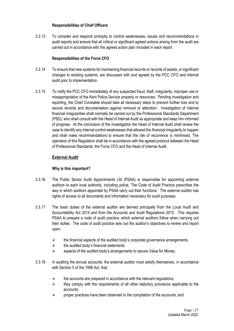# **Responsibilities of Chief Officers**

3.3.13 To consider and respond promptly to control weaknesses, issues and recommendations in audit reports and ensure that all critical or significant agreed actions arising from the audit are carried out in accordance with the agreed action plan included in each report.

# **Responsibilities of the Force CFO**

- 3.3.14 To ensure that new systems for maintaining financial records or records of assets, or significant changes to existing systems, are discussed with and agreed by the PCC CFO and internal audit prior to implementation.
- 3.3.15 To notify the PCC CFO immediately of any suspected fraud, theft, irregularity, improper use or misappropriation of the Kent Police Service property or resources. Pending investigation and reporting, the Chief Constable should take all necessary steps to prevent further loss and to secure records and documentation against removal or alteration. Investigation of internal financial irregularities shall normally be carried out by the Professional Standards Department (PSD), who shall consult with the Head of Internal Audit as appropriate and keep him informed of progress. At the conclusion of the investigation the Head of Internal Audit shall review the case to identify any internal control weaknesses that allowed the financial irregularity to happen and shall make recommendations to ensure that the risk of recurrence is minimised. The operation of this Regulation shall be in accordance with the agreed protocol between the Head of Professional Standards, the Force CFO and the Head of Internal Audit.

# **External Audit**

# **Why is this important?**

- 3.3.16 The Public Sector Audit Appointments Ltd (PSAA) is responsible for appointing external auditors to each local authority, including police. The Code of Audit Practice prescribes the way in which auditors appointed by PSAA carry out their functions. The external auditor has rights of access to all documents and information necessary for audit purposes.
- 3.3.17 The basic duties of the external auditor are derived principally from the Local Audit and Accountability Act 2014 and from the Accounts and Audit Regulations 2015. This requires PSAA to prepare a code of audit practice, which external auditors follow when carrying out their duties. The code of audit practice sets out the auditor's objectives to review and report upon:
	- $\triangleright$  the financial aspects of the audited body's corporate governance arrangements
	- $\triangleright$  the audited body's financial statements
	- ➢ aspects of the audited body's arrangements to secure Value for Money.
- 3.3.18 In auditing the annual accounts, the external auditor must satisfy themselves, in accordance with Section 5 of the 1998 Act, that:
	- $\triangleright$  the accounts are prepared in accordance with the relevant regulations;
	- $\triangleright$  they comply with the requirements of all other statutory provisions applicable to the accounts;
	- $\triangleright$  proper practices have been observed in the compilation of the accounts; and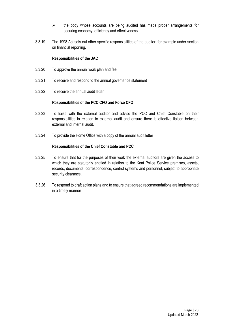- $\triangleright$  the body whose accounts are being audited has made proper arrangements for securing economy, efficiency and effectiveness.
- 3.3.19 The 1998 Act sets out other specific responsibilities of the auditor, for example under section on financial reporting.

#### **Responsibilities of the JAC**

- 3.3.20 To approve the annual work plan and fee
- 3.3.21 To receive and respond to the annual governance statement
- 3.3.22 To receive the annual audit letter

#### **Responsibilities of the PCC CFO and Force CFO**

- 3.3.23 To liaise with the external auditor and advise the PCC and Chief Constable on their responsibilities in relation to external audit and ensure there is effective liaison between external and internal audit.
- 3.3.24 To provide the Home Office with a copy of the annual audit letter

- 3.3.25 To ensure that for the purposes of their work the external auditors are given the access to which they are statutorily entitled in relation to the Kent Police Service premises, assets, records, documents, correspondence, control systems and personnel, subject to appropriate security clearance.
- 3.3.26 To respond to draft action plans and to ensure that agreed recommendations are implemented in a timely manner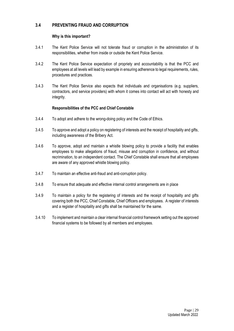# **3.4 PREVENTING FRAUD AND CORRUPTION**

# **Why is this important?**

- 3.4.1 The Kent Police Service will not tolerate fraud or corruption in the administration of its responsibilities, whether from inside or outside the Kent Police Service.
- 3.4.2 The Kent Police Service expectation of propriety and accountability is that the PCC and employees at all levels will lead by example in ensuring adherence to legal requirements, rules, procedures and practices.
- 3.4.3 The Kent Police Service also expects that individuals and organisations (e.g. suppliers, contractors, and service providers) with whom it comes into contact will act with honesty and integrity.

- 3.4.4 To adopt and adhere to the wrong-doing policy and the Code of Ethics.
- 3.4.5 To approve and adopt a policy on registering of interests and the receipt of hospitality and gifts, including awareness of the Bribery Act.
- 3.4.6 To approve, adopt and maintain a whistle blowing policy to provide a facility that enables employees to make allegations of fraud, misuse and corruption in confidence, and without recrimination, to an independent contact. The Chief Constable shall ensure that all employees are aware of any approved whistle blowing policy.
- 3.4.7 To maintain an effective anti-fraud and anti-corruption policy.
- 3.4.8 To ensure that adequate and effective internal control arrangements are in place
- 3.4.9 To maintain a policy for the registering of interests and the receipt of hospitality and gifts covering both the PCC, Chief Constable, Chief Officers and employees. A register of interests and a register of hospitality and gifts shall be maintained for the same.
- 3.4.10 To implement and maintain a clear internal financial control framework setting out the approved financial systems to be followed by all members and employees.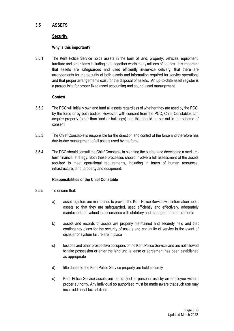# **3.5 ASSETS**

# **Security**

# **Why is this important?**

3.5.1 The Kent Police Service holds assets in the form of land, property, vehicles, equipment, furniture and other items including data, together worth many millions of pounds. It is important that assets are safeguarded and used efficiently in-service delivery, that there are arrangements for the security of both assets and information required for service operations and that proper arrangements exist for the disposal of assets. An up-to-date asset register is a prerequisite for proper fixed asset accounting and sound asset management.

# **Context**

- 3.5.2 The PCC will initially own and fund all assets regardless of whether they are used by the PCC, by the force or by both bodies. However, with consent from the PCC, Chief Constables can acquire property (other than land or buildings) and this should be set out in the scheme of consent.
- 3.5.3 The Chief Constable is responsible for the direction and control of the force and therefore has day-to-day management of all assets used by the force.
- 3.5.4 The PCC should consult the Chief Constable in planning the budget and developing a mediumterm financial strategy. Both these processes should involve a full assessment of the assets required to meet operational requirements, including in terms of human resources, infrastructure, land, property and equipment.

- 3.5.5 To ensure that:
	- a) asset registers are maintained to provide the Kent Police Service with information about assets so that they are safeguarded, used efficiently and effectively, adequately maintained and valued in accordance with statutory and management requirements
	- b) assets and records of assets are properly maintained and securely held and that contingency plans for the security of assets and continuity of service in the event of disaster or system failure are in place
	- c) lessees and other prospective occupiers of the Kent Police Service land are not allowed to take possession or enter the land until a lease or agreement has been established as appropriate
	- d) title deeds to the Kent Police Service property are held securely
	- e) Kent Police Service assets are not subject to personal use by an employee without proper authority. Any individual so authorised must be made aware that such use may incur additional tax liabilities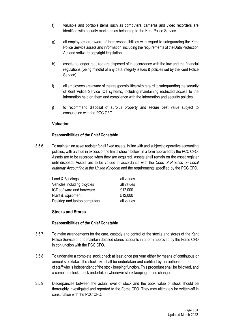- f) valuable and portable items such as computers, cameras and video recorders are identified with security markings as belonging to the Kent Police Service
- g) all employees are aware of their responsibilities with regard to safeguarding the Kent Police Service assets and information, including the requirements of the Data Protection Act and software copyright legislation
- h) assets no longer required are disposed of in accordance with the law and the financial regulations (being mindful of any data integrity issues & policies set by the Kent Police Service)
- i) all employees are aware of their responsibilities with regard to safeguarding the security of Kent Police Service ICT systems, including maintaining restricted access to the information held on them and compliance with the information and security policies
- j) to recommend disposal of surplus property and secure best value subject to consultation with the PCC CFO.

# **Valuation**

# **Responsibilities of the Chief Constable**

3.5.6 To maintain an asset register for all fixed assets, in line with and subject to operative accounting policies, with a value in excess of the limits shown below, in a form approved by the PCC CFO. Assets are to be recorded when they are acquired. Assets shall remain on the asset register until disposal. Assets are to be valued in accordance with the *Code of Practice on Local authority Accounting in the United Kingdom* and the requirements specified by the PCC CFO.

| Land & Buildings             | all values |
|------------------------------|------------|
| Vehicles including bicycles  | all values |
| ICT software and hardware    | £12,000    |
| Plant & Equipment            | £12,000    |
| Desktop and laptop computers | all values |

# **Stocks and Stores**

- 3.5.7 To make arrangements for the care, custody and control of the stocks and stores of the Kent Police Service and to maintain detailed stores accounts in a form approved by the Force CFO in conjunction with the PCC CFO.
- 3.5.8 To undertake a complete stock check at least once per year either by means of continuous or annual stocktake. The stocktake shall be undertaken and certified by an authorised member of staff who is independent of the stock keeping function. This procedure shall be followed, and a complete stock check undertaken whenever stock keeping duties change.
- 3.5.9 Discrepancies between the actual level of stock and the book value of stock should be thoroughly investigated and reported to the Force CFO. They may ultimately be written-off in consultation with the PCC CFO.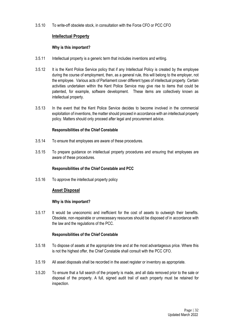3.5.10 To write-off obsolete stock, in consultation with the Force CFO or PCC CFO

# **Intellectual Property**

#### **Why is this important?**

- 3.5.11 Intellectual property is a generic term that includes inventions and writing.
- 3.5.12 It is the Kent Police Service policy that if any Intellectual Policy is created by the employee during the course of employment, then, as a general rule, this will belong to the employer, not the employee. Various acts of Parliament cover different types of intellectual property. Certain activities undertaken within the Kent Police Service may give rise to items that could be patented, for example, software development. These items are collectively known as intellectual property.
- 3.5.13 In the event that the Kent Police Service decides to become involved in the commercial exploitation of inventions, the matter should proceed in accordance with an intellectual property policy. Matters should only proceed after legal and procurement advice.

#### **Responsibilities of the Chief Constable**

- 3.5.14 To ensure that employees are aware of these procedures.
- 3.5.15 To prepare guidance on intellectual property procedures and ensuring that employees are aware of these procedures.

#### **Responsibilities of the Chief Constable and PCC**

3.5.16 To approve the intellectual property policy

# **Asset Disposal**

#### **Why is this important?**

3.5.17 It would be uneconomic and inefficient for the cost of assets to outweigh their benefits. Obsolete, non-repairable or unnecessary resources should be disposed of in accordance with the law and the regulations of the PCC.

- 3.5.18 To dispose of assets at the appropriate time and at the most advantageous price. Where this is not the highest offer, the Chief Constable shall consult with the PCC CFO.
- 3.5.19 All asset disposals shall be recorded in the asset register or inventory as appropriate.
- 3.5.20 To ensure that a full search of the property is made, and all data removed prior to the sale or disposal of the property. A full, signed audit trail of each property must be retained for inspection.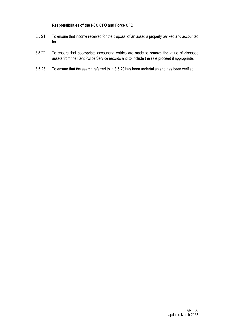# **Responsibilities of the PCC CFO and Force CFO**

- 3.5.21 To ensure that income received for the disposal of an asset is properly banked and accounted for.
- 3.5.22 To ensure that appropriate accounting entries are made to remove the value of disposed assets from the Kent Police Service records and to include the sale proceed if appropriate.
- 3.5.23 To ensure that the search referred to in 3.5.20 has been undertaken and has been verified.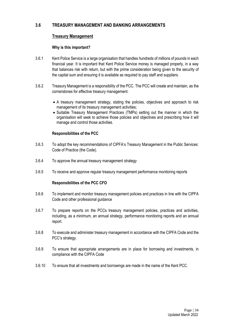# **3.6 TREASURY MANAGEMENT AND BANKING ARRANGEMENTS**

# **Treasury Management**

# **Why is this important?**

- 3.6.1 Kent Police Service is a large organisation that handles hundreds of millions of pounds in each financial year. It is important that Kent Police Service money is managed properly, in a way that balances risk with return, but with the prime consideration being given to the security of the capital sum and ensuring it is available as required to pay staff and suppliers.
- 3.6.2 Treasury Management is a responsibility of the PCC. The PCC will create and maintain, as the cornerstones for effective treasury management:
	- A treasury management strategy, stating the policies, objectives and approach to risk management of its treasury management activities;
	- Suitable Treasury Management Practices (TMPs) setting out the manner in which the organisation will seek to achieve those policies and objectives and prescribing how it will manage and control those activities.

# **Responsibilities of the PCC**

- 3.6.3 To adopt the key recommendations of CIPFA's Treasury Management in the Public Services: Code of Practice (the Code).
- 3.6.4 To approve the annual treasury management strategy
- 3.6.5 To receive and approve regular treasury management performance monitoring reports

# **Responsibilities of the PCC CFO**

- 3.6.6 To implement and monitor treasury management policies and practices in line with the CIPFA Code and other professional guidance
- 3.6.7 To prepare reports on the PCCs treasury management policies, practices and activities, including, as a minimum, an annual strategy, performance monitoring reports and an annual report.
- 3.6.8 To execute and administer treasury management in accordance with the CIPFA Code and the PCC's strategy.
- 3.6.9 To ensure that appropriate arrangements are in place for borrowing and investments, in compliance with the CIPFA Code
- 3.6.10 To ensure that all investments and borrowings are made in the name of the Kent PCC.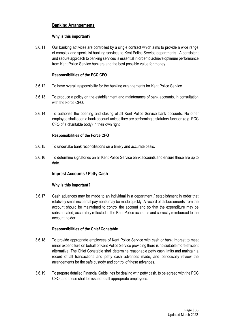# **Banking Arrangements**

# **Why is this important?**

3.6.11 Our banking activities are controlled by a single contract which aims to provide a wide range of complex and specialist banking services to Kent Police Service departments. A consistent and secure approach to banking services is essential in order to achieve optimum performance from Kent Police Service bankers and the best possible value for money.

# **Responsibilities of the PCC CFO**

- 3.6.12 To have overall responsibility for the banking arrangements for Kent Police Service.
- 3.6.13 To produce a policy on the establishment and maintenance of bank accounts, in consultation with the Force CFO.
- 3.6.14 To authorise the opening and closing of all Kent Police Service bank accounts. No other employee shall open a bank account unless they are performing a statutory function (e.g. PCC CFO of a charitable body) in their own right

# **Responsibilities of the Force CFO**

- 3.6.15 To undertake bank reconciliations on a timely and accurate basis.
- 3.6.16 To determine signatories on all Kent Police Service bank accounts and ensure these are up to date.

# **Imprest Accounts / Petty Cash**

# **Why is this important?**

3.6.17 Cash advances may be made to an individual in a department / establishment in order that relatively small incidental payments may be made quickly. A record of disbursements from the account should be maintained to control the account and so that the expenditure may be substantiated, accurately reflected in the Kent Police accounts and correctly reimbursed to the account holder.

- 3.6.18 To provide appropriate employees of Kent Police Service with cash or bank imprest to meet minor expenditure on behalf of Kent Police Service providing there is no suitable more efficient alternative. The Chief Constable shall determine reasonable petty cash limits and maintain a record of all transactions and petty cash advances made, and periodically review the arrangements for the safe custody and control of these advances.
- 3.6.19 To prepare detailed Financial Guidelines for dealing with petty cash, to be agreed with the PCC CFO, and these shall be issued to all appropriate employees.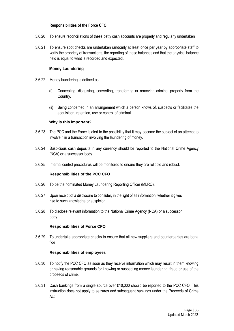#### **Responsibilities of the Force CFO**

- 3.6.20 To ensure reconciliations of these petty cash accounts are properly and regularly undertaken
- 3.6.21 To ensure spot checks are undertaken randomly at least once per year by appropriate staff to verify the propriety of transactions, the reporting of these balances and that the physical balance held is equal to what is recorded and expected.

#### **Money Laundering**

- 3.6.22 Money laundering is defined as:
	- (i) Concealing, disguising, converting, transferring or removing criminal property from the Country.
	- (ii) Being concerned in an arrangement which a person knows of, suspects or facilitates the acquisition, retention, use or control of criminal

#### **Why is this important?**

- 3.6.23 The PCC and the Force is alert to the possibility that it may become the subject of an attempt to involve it in a transaction involving the laundering of money.
- 3.6.24 Suspicious cash deposits in any currency should be reported to the National Crime Agency (NCA) or a successor body.
- 3.6.25 Internal control procedures will be monitored to ensure they are reliable and robust.

#### **Responsibilities of the PCC CFO**

- 3.6.26 To be the nominated Money Laundering Reporting Officer (MLRO).
- 3.6.27 Upon receipt of a disclosure to consider, in the light of all information, whether it gives rise to such knowledge or suspicion.
- 3.6.28 To disclose relevant information to the National Crime Agency (NCA) or a successor body.

#### **Responsibilities of Force CFO**

3.6.29 To undertake appropriate checks to ensure that all new suppliers and counterparties are bona fide

#### **Responsibilities of employees**

- 3.6.30 To notify the PCC CFO as soon as they receive information which may result in them knowing or having reasonable grounds for knowing or suspecting money laundering, fraud or use of the proceeds of crime.
- 3.6.31 Cash bankings from a single source over £10,000 should be reported to the PCC CFO. This instruction does not apply to seizures and subsequent bankings under the Proceeds of Crime Act.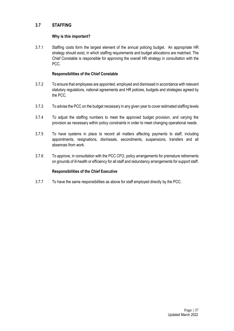# **3.7 STAFFING**

#### **Why is this important?**

3.7.1 Staffing costs form the largest element of the annual policing budget. An appropriate HR strategy should exist, in which staffing requirements and budget allocations are matched. The Chief Constable is responsible for approving the overall HR strategy in consultation with the PCC.

#### **Responsibilities of the Chief Constable**

- 3.7.2 To ensure that employees are appointed, employed and dismissed in accordance with relevant statutory regulations, national agreements and HR policies, budgets and strategies agreed by the PCC.
- 3.7.3 To advise the PCC on the budget necessary in any given year to cover estimated staffing levels
- 3.7.4 To adjust the staffing numbers to meet the approved budget provision, and varying the provision as necessary within policy constraints in order to meet changing operational needs
- 3.7.5 To have systems in place to record all matters affecting payments to staff, including appointments, resignations, dismissals, secondments, suspensions, transfers and all absences from work.
- 3.7.6 To approve, in consultation with the PCC CFO, policy arrangements for premature retirements on grounds of ill-health or efficiency for all staff and redundancy arrangements for support staff.

# **Responsibilities of the Chief Executive**

3.7.7 To have the same responsibilities as above for staff employed directly by the PCC.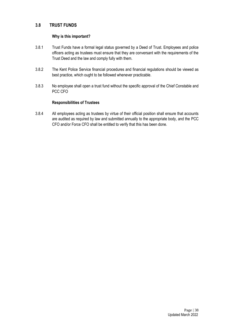# **3.8 TRUST FUNDS**

#### **Why is this important?**

- 3.8.1 Trust Funds have a formal legal status governed by a Deed of Trust. Employees and police officers acting as trustees must ensure that they are conversant with the requirements of the Trust Deed and the law and comply fully with them.
- 3.8.2 The Kent Police Service financial procedures and financial regulations should be viewed as best practice, which ought to be followed whenever practicable.
- 3.8.3 No employee shall open a trust fund without the specific approval of the Chief Constable and PCC CFO

#### **Responsibilities of Trustees**

3.8.4 All employees acting as trustees by virtue of their official position shall ensure that accounts are audited as required by law and submitted annually to the appropriate body, and the PCC CFO and/or Force CFO shall be entitled to verify that this has been done.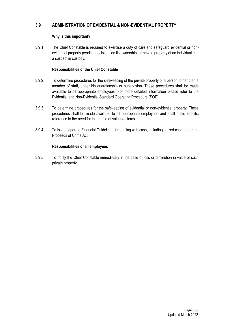# **3.9 ADMINISTRATION OF EVIDENTIAL & NON-EVIDENTIAL PROPERTY**

# **Why is this important?**

3.9.1 The Chief Constable is required to exercise a duty of care and safeguard evidential or nonevidential property pending decisions on its ownership, or private property of an individual e.g. a suspect in custody.

# **Responsibilities of the Chief Constable**

- 3.9.2 To determine procedures for the safekeeping of the private property of a person, other than a member of staff, under his guardianship or supervision. These procedures shall be made available to all appropriate employees. For more detailed information please refer to the Evidential and Non-Evidential Standard Operating Procedure (SOP).
- 3.9.3 To determine procedures for the safekeeping of evidential or non-evidential property. These procedures shall be made available to all appropriate employees and shall make specific reference to the need for insurance of valuable items.
- 3.9.4 To issue separate Financial Guidelines for dealing with cash, including seized cash under the Proceeds of Crime Act

# **Responsibilities of all employees**

3.9.5 To notify the Chief Constable immediately in the case of loss or diminution in value of such private property.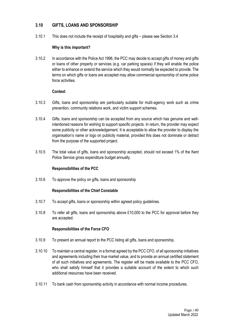# **3.10 GIFTS, LOANS AND SPONSORSHIP**

3.10.1 This does not include the receipt of hospitality and gifts – please see Section 3.4

#### **Why is this important?**

3.10.2 In accordance with the Police Act 1996, the PCC may decide to accept gifts of money and gifts or loans of other property or services (e.g. car parking spaces) if they will enable the police either to enhance or extend the service which they would normally be expected to provide. The terms on which gifts or loans are accepted may allow commercial sponsorship of some police force activities.

#### **Context**

- 3.10.3 Gifts, loans and sponsorship are particularly suitable for multi-agency work such as crime prevention, community relations work, and victim support schemes.
- 3.10.4 Gifts, loans and sponsorship can be accepted from any source which has genuine and wellintentioned reasons for wishing to support specific projects. In return, the provider may expect some publicity or other acknowledgement. It is acceptable to allow the provider to display the organisation's name or logo on publicity material, provided this does not dominate or detract from the purpose of the supported project.
- 3.10.5 The total value of gifts, loans and sponsorship accepted, should not exceed 1% of the Kent Police Service gross expenditure budget annually.

# **Responsibilities of the PCC**

3.10.6 To approve the policy on gifts, loans and sponsorship

# **Responsibilities of the Chief Constable**

- 3.10.7 To accept gifts, loans or sponsorship within agreed policy guidelines.
- 3.10.8 To refer all gifts, loans and sponsorship above £10,000 to the PCC for approval before they are accepted.

# **Responsibilities of the Force CFO**

- 3.10.9 To present an annual report to the PCC listing all gifts, loans and sponsorship.
- 3.10.10 To maintain a central register, in a format agreed by the PCC CFO, of all sponsorship initiatives and agreements including their true market value, and to provide an annual certified statement of all such initiatives and agreements. The register will be made available to the PCC CFO, who shall satisfy himself that it provides a suitable account of the extent to which such additional resources have been received.
- 3.10.11 To bank cash from sponsorship activity in accordance with normal income procedures.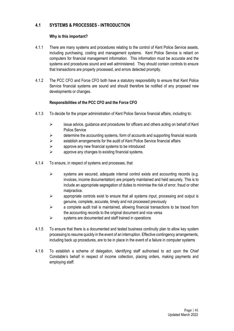# **4.1 SYSTEMS & PROCESSES - INTRODUCTION**

# **Why is this important?**

- 4.1.1 There are many systems and procedures relating to the control of Kent Police Service assets, including purchasing, costing and management systems. Kent Police Service is reliant on computers for financial management information. This information must be accurate and the systems and procedures sound and well administered. They should contain controls to ensure that transactions are properly processed, and errors detected promptly.
- 4.1.2 The PCC CFO and Force CFO both have a statutory responsibility to ensure that Kent Police Service financial systems are sound and should therefore be notified of any proposed new developments or changes.

# **Responsibilities of the PCC CFO and the Force CFO**

- 4.1.3 To decide for the proper administration of Kent Police Service financial affairs, including to:
	- $\geq$  issue advice, guidance and procedures for officers and others acting on behalf of Kent Police Service
	- $\triangleright$  determine the accounting systems, form of accounts and supporting financial records
	- ➢ establish arrangements for the audit of Kent Police Service financial affairs
	- $\triangleright$  approve any new financial systems to be introduced
	- $\triangleright$  approve any changes to existing financial systems.
- 4.1.4 To ensure, in respect of systems and processes, that
	- ➢ systems are secured, adequate internal control exists and accounting records (e.g. invoices, income documentation) are properly maintained and held securely. This is to include an appropriate segregation of duties to minimise the risk of error, fraud or other malpractice.
	- $\geq$  appropriate controls exist to ensure that all systems input, processing and output is genuine, complete, accurate, timely and not processed previously
	- $\triangleright$  a complete audit trail is maintained, allowing financial transactions to be traced from the accounting records to the original document and vice versa
	- ➢ systems are documented and staff trained in operations
- 4.1.5 To ensure that there is a documented and tested business continuity plan to allow key system processing to resume quickly in the event of an interruption. Effective contingency arrangements, including back up procedures, are to be in place in the event of a failure in computer systems
- 4.1.6 To establish a scheme of delegation, identifying staff authorised to act upon the Chief Constable's behalf in respect of income collection, placing orders, making payments and employing staff.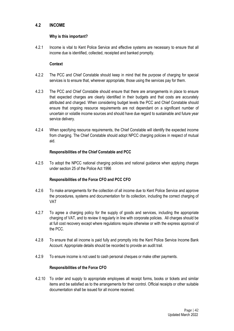# **4.2 INCOME**

#### **Why is this important?**

4.2.1 Income is vital to Kent Police Service and effective systems are necessary to ensure that all income due is identified, collected, receipted and banked promptly.

#### **Context**

- 4.2.2 The PCC and Chief Constable should keep in mind that the purpose of charging for special services is to ensure that, wherever appropriate, those using the services pay for them.
- 4.2.3 The PCC and Chief Constable should ensure that there are arrangements in place to ensure that expected charges are clearly identified in their budgets and that costs are accurately attributed and charged. When considering budget levels the PCC and Chief Constable should ensure that ongoing resource requirements are not dependant on a significant number of uncertain or volatile income sources and should have due regard to sustainable and future year service delivery.
- 4.2.4 When specifying resource requirements, the Chief Constable will identify the expected income from charging. The Chief Constable should adopt NPCC charging policies in respect of mutual aid.

#### **Responsibilities of the Chief Constable and PCC**

4.2.5 To adopt the NPCC national charging policies and national guidance when applying charges under section 25 of the Police Act 1996

# **Responsibilities of the Force CFO and PCC CFO**

- 4.2.6 To make arrangements for the collection of all income due to Kent Police Service and approve the procedures, systems and documentation for its collection, including the correct charging of VAT
- 4.2.7 To agree a charging policy for the supply of goods and services, including the appropriate charging of VAT, and to review it regularly in line with corporate policies. All charges should be at full cost recovery except where regulations require otherwise or with the express approval of the PCC.
- 4.2.8 To ensure that all income is paid fully and promptly into the Kent Police Service Income Bank Account. Appropriate details should be recorded to provide an audit trail.
- 4.2.9 To ensure income is not used to cash personal cheques or make other payments.

# **Responsibilities of the Force CFO**

4.2.10 To order and supply to appropriate employees all receipt forms, books or tickets and similar items and be satisfied as to the arrangements for their control. Official receipts or other suitable documentation shall be issued for all income received.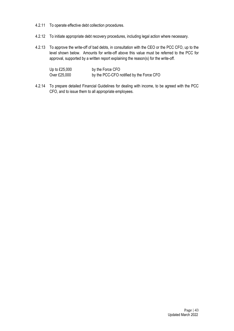- 4.2.11 To operate effective debt collection procedures.
- 4.2.12 To initiate appropriate debt recovery procedures, including legal action where necessary.
- 4.2.13 To approve the write-off of bad debts, in consultation with the CEO or the PCC CFO, up to the level shown below. Amounts for write-off above this value must be referred to the PCC for approval, supported by a written report explaining the reason(s) for the write-off.

| Up to £25,000 | by the Force CFO                         |
|---------------|------------------------------------------|
| Over £25,000  | by the PCC-CFO notified by the Force CFO |

4.2.14 To prepare detailed Financial Guidelines for dealing with income, to be agreed with the PCC CFO, and to issue them to all appropriate employees.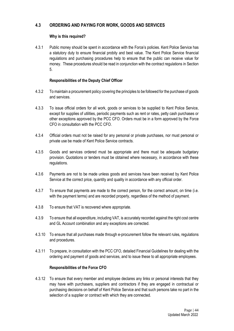# **4.3 ORDERING AND PAYING FOR WORK, GOODS AND SERVICES**

# **Why is this required?**

4.3.1 Public money should be spent in accordance with the Force's policies. Kent Police Service has a statutory duty to ensure financial probity and best value. The Kent Police Service financial regulations and purchasing procedures help to ensure that the public can receive value for money. These procedures should be read in conjunction with the contract regulations in Section 5.

# **Responsibilities of the Deputy Chief Officer**

- 4.3.2 To maintain a procurement policy covering the principles to be followed for the purchase of goods and services.
- 4.3.3 To issue official orders for all work, goods or services to be supplied to Kent Police Service, except for supplies of utilities, periodic payments such as rent or rates, petty cash purchases or other exceptions approved by the PCC CFO. Orders must be in a form approved by the Force CFO in consultation with the PCC CFO.
- 4.3.4 Official orders must not be raised for any personal or private purchases, nor must personal or private use be made of Kent Police Service contracts.
- 4.3.5 Goods and services ordered must be appropriate and there must be adequate budgetary provision. Quotations or tenders must be obtained where necessary, in accordance with these regulations.
- 4.3.6 Payments are not to be made unless goods and services have been received by Kent Police Service at the correct price, quantity and quality in accordance with any official order.
- 4.3.7 To ensure that payments are made to the correct person, for the correct amount, on time (i.e. with the payment terms) and are recorded properly, regardless of the method of payment.
- 4.3.8 To ensure that VAT is recovered where appropriate.
- 4.3.9 To ensure that all expenditure, including VAT, is accurately recorded against the right cost centre and GL Account combination and any exceptions are corrected.
- 4.3.10 To ensure that all purchases made through e-procurement follow the relevant rules, regulations and procedures.
- 4.3.11 To prepare, in consultation with the PCC CFO, detailed Financial Guidelines for dealing with the ordering and payment of goods and services, and to issue these to all appropriate employees.

# **Responsibilities of the Force CFO**

4.3.12 To ensure that every member and employee declares any links or personal interests that they may have with purchasers, suppliers and contractors if they are engaged in contractual or purchasing decisions on behalf of Kent Police Service and that such persons take no part in the selection of a supplier or contract with which they are connected.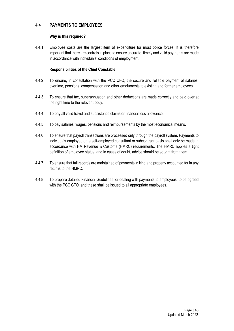# **4.4 PAYMENTS TO EMPLOYEES**

## **Why is this required?**

4.4.1 Employee costs are the largest item of expenditure for most police forces. It is therefore important that there are controls in place to ensure accurate, timely and valid payments are made in accordance with individuals' conditions of employment.

- 4.4.2 To ensure, in consultation with the PCC CFO, the secure and reliable payment of salaries, overtime, pensions, compensation and other emoluments to existing and former employees.
- 4.4.3 To ensure that tax, superannuation and other deductions are made correctly and paid over at the right time to the relevant body.
- 4.4.4 To pay all valid travel and subsistence claims or financial loss allowance.
- 4.4.5 To pay salaries, wages, pensions and reimbursements by the most economical means.
- 4.4.6 To ensure that payroll transactions are processed only through the payroll system. Payments to individuals employed on a self-employed consultant or subcontract basis shall only be made in accordance with HM Revenue & Customs (HMRC) requirements. The HMRC applies a tight definition of employee status, and in cases of doubt, advice should be sought from them.
- 4.4.7 To ensure that full records are maintained of payments in kind and properly accounted for in any returns to the HMRC.
- 4.4.8 To prepare detailed Financial Guidelines for dealing with payments to employees, to be agreed with the PCC CFO, and these shall be issued to all appropriate employees.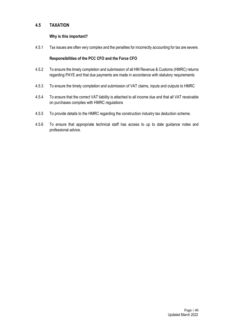# **4.5 TAXATION**

# **Why is this important?**

4.5.1 Tax issues are often very complex and the penalties for incorrectly accounting for tax are severe.

# **Responsibilities of the PCC CFO and the Force CFO**

- 4.5.2 To ensure the timely completion and submission of all HM Revenue & Customs (HMRC) returns regarding PAYE and that due payments are made in accordance with statutory requirements
- 4.5.3 To ensure the timely completion and submission of VAT claims, inputs and outputs to HMRC
- 4.5.4 To ensure that the correct VAT liability is attached to all income due and that all VAT receivable on purchases complies with HMRC regulations
- 4.5.5 To provide details to the HMRC regarding the construction industry tax deduction scheme.
- 4.5.6 To ensure that appropriate technical staff has access to up to date guidance notes and professional advice.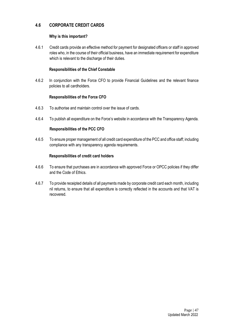# **4.6 CORPORATE CREDIT CARDS**

# **Why is this important?**

4.6.1 Credit cards provide an effective method for payment for designated officers or staff in approved roles who, in the course of their official business, have an immediate requirement for expenditure which is relevant to the discharge of their duties.

# **Responsibilities of the Chief Constable**

4.6.2 In conjunction with the Force CFO to provide Financial Guidelines and the relevant finance policies to all cardholders.

# **Responsibilities of the Force CFO**

- 4.6.3 To authorise and maintain control over the issue of cards.
- 4.6.4 To publish all expenditure on the Force's website in accordance with the Transparency Agenda.

# **Responsibilities of the PCC CFO**

4.6.5 To ensure proper management of all credit card expenditure of the PCC and office staff; including compliance with any transparency agenda requirements.

# **Responsibilities of credit card holders**

- 4.6.6 To ensure that purchases are in accordance with approved Force or OPCC policies if they differ and the Code of Ethics.
- 4.6.7 To provide receipted details of all payments made by corporate credit card each month, including nil returns, to ensure that all expenditure is correctly reflected in the accounts and that VAT is recovered.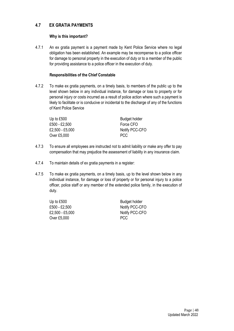# **4.7 EX GRATIA PAYMENTS**

# **Why is this important?**

4.7.1 An ex gratia payment is a payment made by Kent Police Service where no legal obligation has been established. An example may be recompense to a police officer for damage to personal property in the execution of duty or to a member of the public for providing assistance to a police officer in the execution of duty.

# **Responsibilities of the Chief Constable**

4.7.2 To make ex gratia payments, on a timely basis, to members of the public up to the level shown below in any individual instance, for damage or loss to property or for personal injury or costs incurred as a result of police action where such a payment is likely to facilitate or is conducive or incidental to the discharge of any of the functions of Kent Police Service

| Up to £500      | <b>Budget holder</b> |
|-----------------|----------------------|
| £500 - £2,500   | Force CFO            |
| £2,500 - £5,000 | Notify PCC-CFO       |
| Over £5,000     | PCC.                 |

- 4.7.3 To ensure all employees are instructed not to admit liability or make any offer to pay compensation that may prejudice the assessment of liability in any insurance claim.
- 4.7.4 To maintain details of ex gratia payments in a register:
- 4.7.5 To make ex gratia payments, on a timely basis, up to the level shown below in any individual instance, for damage or loss of property or for personal injury to a police officer, police staff or any member of the extended police family, in the execution of duty.

| Up to $£500$    | <b>Budget holder</b> |
|-----------------|----------------------|
| £500 - £2,500   | Notify PCC-CFO       |
| £2,500 - £5,000 | Notify PCC-CFO       |
| Over £5,000     | <b>PCC</b>           |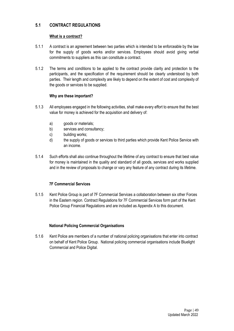# **5.1 CONTRACT REGULATIONS**

# **What is a contract?**

- 5.1.1 A contract is an agreement between two parties which is intended to be enforceable by the law for the supply of goods works and/or services. Employees should avoid giving verbal commitments to suppliers as this can constitute a contract.
- 5.1.2 The terms and conditions to be applied to the contract provide clarity and protection to the participants, and the specification of the requirement should be clearly understood by both parties. Their length and complexity are likely to depend on the extent of cost and complexity of the goods or services to be supplied.

# **Why are these important?**

- 5.1.3 All employees engaged in the following activities, shall make every effort to ensure that the best value for money is achieved for the acquisition and delivery of:
	- a) goods or materials:
	- b) services and consultancy;
	- c) building works;
	- d) the supply of goods or services to third parties which provide Kent Police Service with an income.
- 5.1.4 Such efforts shall also continue throughout the lifetime of any contract to ensure that best value for money is maintained in the quality and standard of all goods, services and works supplied and in the review of proposals to change or vary any feature of any contract during its lifetime.

# **7F Commercial Services**

5.1.5 Kent Police Group is part of 7F Commercial Services a collaboration between six other Forces in the Eastern region. Contract Regulations for 7F Commercial Services form part of the Kent Police Group Financial Regulations and are included as Appendix A to this document.

# **National Policing Commercial Organisations**

5.1.6 Kent Police are members of a number of national policing organisations that enter into contract on behalf of Kent Police Group. National policing commercial organisations include Bluelight Commercial and Police Digital.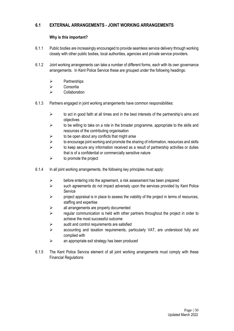# **6.1 EXTERNAL ARRANGEMENTS - JOINT WORKING ARRANGEMENTS**

# **Why is this important?**

- 6.1.1 Public bodies are increasingly encouraged to provide seamless service delivery through working closely with other public bodies, local authorities, agencies and private service providers.
- 6.1.2 Joint working arrangements can take a number of different forms, each with its own governance arrangements. In Kent Police Service these are grouped under the following headings:
	- ➢ Partnerships
	- ➢ Consortia
	- ➢ Collaboration
- 6.1.3 Partners engaged in joint working arrangements have common responsibilities:
	- $\triangleright$  to act in good faith at all times and in the best interests of the partnership's aims and objectives
	- $\triangleright$  to be willing to take on a role in the broader programme, appropriate to the skills and resources of the contributing organisation
	- $\triangleright$  to be open about any conflicts that might arise
	- $\triangleright$  to encourage joint working and promote the sharing of information, resources and skills
	- $\triangleright$  to keep secure any information received as a result of partnership activities or duties that is of a confidential or commercially sensitive nature
	- $\triangleright$  to promote the project
- 6.1.4 In all joint working arrangements, the following key principles must apply:
	- $\triangleright$  before entering into the agreement, a risk assessment has been prepared
	- $\triangleright$  such agreements do not impact adversely upon the services provided by Kent Police Service
	- $\triangleright$  project appraisal is in place to assess the viability of the project in terms of resources, staffing and expertise
	- ➢ all arrangements are properly documented
	- $\triangleright$  regular communication is held with other partners throughout the project in order to achieve the most successful outcome
	- $\triangleright$  audit and control requirements are satisfied
	- ➢ accounting and taxation requirements, particularly VAT, are understood fully and complied with
	- ➢ an appropriate exit strategy has been produced
- 6.1.5 The Kent Police Service element of all joint working arrangements must comply with these Financial Regulations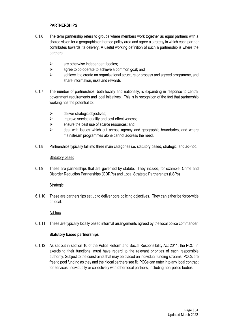# **PARTNERSHIPS**

- 6.1.6 The term partnership refers to groups where members work together as equal partners with a shared vision for a geographic or themed policy area and agree a strategy in which each partner contributes towards its delivery. A useful working definition of such a partnership is where the partners:
	- $\triangleright$  are otherwise independent bodies:
	- $\triangleright$  agree to co-operate to achieve a common goal; and
	- ➢ achieve it to create an organisational structure or process and agreed programme, and share information, risks and rewards
- 6.1.7 The number of partnerships, both locally and nationally, is expanding in response to central government requirements and local initiatives. This is in recognition of the fact that partnership working has the potential to:
	- $\triangleright$  deliver strategic objectives;
	- ➢ improve service quality and cost effectiveness;
	- ➢ ensure the best use of scarce resources; and
	- $\triangleright$  deal with issues which cut across agency and geographic boundaries, and where mainstream programmes alone cannot address the need.
- 6.1.8 Partnerships typically fall into three main categories i.e. statutory based, strategic, and ad-hoc.

#### Statutory based

6.1.9 These are partnerships that are governed by statute. They include, for example, Crime and Disorder Reduction Partnerships (CDRPs) and Local Strategic Partnerships (LSPs)

#### **Strategic**

6.1.10 These are partnerships set up to deliver core policing objectives. They can either be force-wide or local.

#### Ad-hoc

6.1.11 These are typically locally based informal arrangements agreed by the local police commander.

#### **Statutory based partnerships**

6.1.12 As set out in section 10 of the Police Reform and Social Responsibility Act 2011, the PCC, in exercising their functions, must have regard to the relevant priorities of each responsible authority. Subject to the constraints that may be placed on individual funding streams, PCCs are free to pool funding as they and their local partners see fit. PCCs can enter into any local contract for services, individually or collectively with other local partners, including non-police bodies.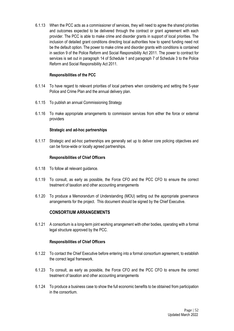6.1.13 When the PCC acts as a commissioner of services, they will need to agree the shared priorities and outcomes expected to be delivered through the contract or grant agreement with each provider. The PCC is able to make crime and disorder grants in support of local priorities. The inclusion of detailed grant conditions directing local authorities how to spend funding need not be the default option. The power to make crime and disorder grants with conditions is contained in section 9 of the Police Reform and Social Responsibility Act 2011. The power to contract for services is set out in paragraph 14 of Schedule 1 and paragraph 7 of Schedule 3 to the Police Reform and Social Responsibility Act 2011.

#### **Responsibilities of the PCC**

- 6.1.14 To have regard to relevant priorities of local partners when considering and setting the 5-year Police and Crime Plan and the annual delivery plan.
- 6.1.15 To publish an annual Commissioning Strategy
- 6.1.16 To make appropriate arrangements to commission services from either the force or external providers

#### **Strategic and ad-hoc partnerships**

6.1.17 Strategic and ad-hoc partnerships are generally set up to deliver core policing objectives and can be force-wide or locally agreed partnerships.

#### **Responsibilities of Chief Officers**

- 6.1.18 To follow all relevant guidance.
- 6.1.19 To consult, as early as possible, the Force CFO and the PCC CFO to ensure the correct treatment of taxation and other accounting arrangements
- 6.1.20 To produce a Memorandum of Understanding (MOU) setting out the appropriate governance arrangements for the project. This document should be signed by the Chief Executive.

# **CONSORTIUM ARRANGEMENTS**

6.1.21 A consortium is a long-term joint working arrangement with other bodies, operating with a formal legal structure approved by the PCC.

#### **Responsibilities of Chief Officers**

- 6.1.22 To contact the Chief Executive before entering into a formal consortium agreement, to establish the correct legal framework.
- 6.1.23 To consult, as early as possible, the Force CFO and the PCC CFO to ensure the correct treatment of taxation and other accounting arrangements
- 6.1.24 To produce a business case to show the full economic benefits to be obtained from participation in the consortium.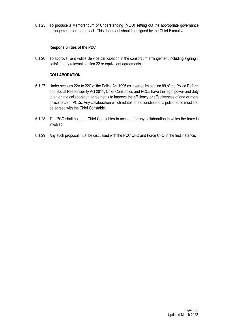6.1.25 To produce a Memorandum of Understanding (MOU) setting out the appropriate governance arrangements for the project. This document should be signed by the Chief Executive

# **Responsibilities of the PCC**

6.1.26 To approve Kent Police Service participation in the consortium arrangement including signing if satisfied any relevant section 22 or equivalent agreements.

# **COLLABORATION**

- 6.1.27 Under sections 22A to 22C of the Police Act 1996 as inserted by section 89 of the Police Reform and Social Responsibility Act 2011, Chief Constables and PCCs have the legal power and duty to enter into collaboration agreements to improve the efficiency or effectiveness of one or more police force or PCCs. Any collaboration which relates to the functions of a police force must first be agreed with the Chief Constable.
- 6.1.28 The PCC shall hold the Chief Constables to account for any collaboration in which the force is involved
- 6.1.29 Any such proposal must be discussed with the PCC CFO and Force CFO in the first instance.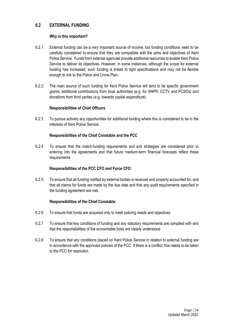# **6.2 EXTERNAL FUNDING**

#### **Why is this important?**

- 6.2.1 External funding can be a very important source of income, but funding conditions need to be carefully considered to ensure that they are compatible with the aims and objectives of Kent Police Service. Funds from external agencies provide additional resources to enable Kent Police Service to deliver its objectives. However, in some instances, although the scope for external funding has increased, such funding is linked to tight specifications and may not be flexible enough to link to the Police and Crime Plan.
- 6.2.2 The main source of such funding for Kent Police Service will tend to be specific government grants, additional contributions from local authorities (e.g. for ANPR, CCTV and PCSOs) and donations from third parties (e.g. towards capital expenditure)

#### **Responsibilities of Chief Officers**

6.2.3 To pursue actively any opportunities for additional funding where this is considered to be in the interests of Kent Police Service.

#### **Responsibilities of the Chief Constable and the PCC**

6.2.4 To ensure that the match-funding requirements and exit strategies are considered prior to entering into the agreements and that future medium-term financial forecasts reflect these requirements.

# **Responsibilities of the PCC CFO and Force CFO**

6.2.5 To ensure that all funding notified by external bodies is received and properly accounted for, and that all claims for funds are made by the due date and that any audit requirements specified in the funding agreement are met.

- 6.2.6 To ensure that funds are acquired only to meet policing needs and objectives
- 6.2.7 To ensure that key conditions of funding and any statutory requirements are complied with and that the responsibilities of the accountable body are clearly understood
- 6.2.8 To ensure that any conditions placed on Kent Police Service in relation to external funding are in accordance with the approved policies of the PCC. If there is a conflict, this needs to be taken to the PCC for resolution.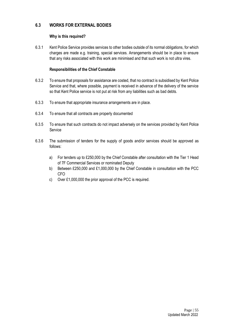# **6.3 WORKS FOR EXTERNAL BODIES**

# **Why is this required?**

6.3.1 Kent Police Service provides services to other bodies outside of its normal obligations, for which charges are made e.g. training, special services. Arrangements should be in place to ensure that any risks associated with this work are minimised and that such work is not ultra vires.

- 6.3.2 To ensure that proposals for assistance are costed, that no contract is subsidised by Kent Police Service and that, where possible, payment is received in advance of the delivery of the service so that Kent Police service is not put at risk from any liabilities such as bad debts.
- 6.3.3 To ensure that appropriate insurance arrangements are in place.
- 6.3.4 To ensure that all contracts are properly documented
- 6.3.5 To ensure that such contracts do not impact adversely on the services provided by Kent Police Service
- 6.3.6 The submission of tenders for the supply of goods and/or services should be approved as follows:
	- a) For tenders up to £250,000 by the Chief Constable after consultation with the Tier 1 Head of 7F Commercial Services or nominated Deputy
	- b) Between £250,000 and £1,000,000 by the Chief Constable in consultation with the PCC CFO
	- c) Over £1,000,000 the prior approval of the PCC is required.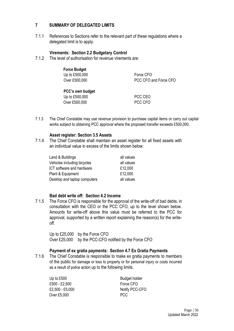# **7 SUMMARY OF DELEGATED LIMITS**

7.1.1 References to Sections refer to the relevant part of these regulations where a delegated limit is to apply.

# **Virements: Section 2.2 Budgetary Control**

7.1.2 The level of authorisation for revenue virements are:

| <b>Force Budget</b> |                       |
|---------------------|-----------------------|
| Up to £500,000      | Force CFO             |
| Over £500,000       | PCC CFO and Force CFO |
| PCC's own budget    |                       |
| Up to £500,000      | PCC CEO               |
| Over £500,000       | PCC CFO               |

7.1.3 The Chief Constable may use revenue provision to purchase capital items or carry out capital works subject to obtaining PCC approval where the proposed transfer exceeds £500,000.

# **Asset register: Section 3.5 Assets**

7.1.4 The Chief Constable shall maintain an asset register for all fixed assets with an individual value in excess of the limits shown below:

| Land & Buildings             | all values |
|------------------------------|------------|
| Vehicles including bicycles  | all values |
| ICT software and hardware    | £12,000    |
| Plant & Equipment            | £12,000    |
| Desktop and laptop computers | all values |

# **Bad debt write off: Section 4.2 Income**

7.1.5 The Force CFO is responsible for the approval of the write-off of bad debts, in consultation with the CEO or the PCC CFO, up to the level shown below. Amounts for write-off above this value must be referred to the PCC for approval, supported by a written report explaining the reason(s) for the writeoff.

Up to £25,000 by the Force CFO Over £25,000 by the PCC-CFO notified by the Force CFO

# **Payment of ex gratia payments: Section 4.7 Ex Gratia Payments**

7.1.6 The Chief Constable is responsible to make ex gratia payments to members of the public for damage or loss to property or for personal injury or costs incurred as a result of police action up to the following limits.

Up to £500 Budget holder £500 - £2,500 Force CFO Over £5,000 PCC

£2,500 - £5,000 Notify PCC-CFO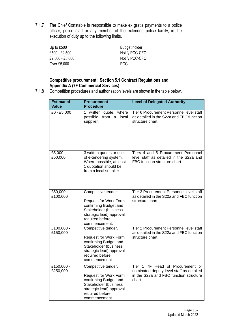7.1.7 The Chief Constable is responsible to make ex gratia payments to a police officer, police staff or any member of the extended police family, in the execution of duty up to the following limits.

| Up to $£500$    | Budget holder  |
|-----------------|----------------|
| £500 - £2,500   | Notify PCC-CFO |
| £2,500 - £5,000 | Notify PCC-CFO |
| Over £5,000     | <b>PCC</b>     |

# **Competitive procurement: Section 5.1 Contract Regulations and Appendix A (7F Commercial Services)**

7.1.8 Competition procedures and authorisation levels are shown in the table below.

| <b>Estimated</b><br>Value | <b>Procurement</b><br><b>Procedure</b>                                                                                                                                | <b>Level of Delegated Authority</b>                                                                                                |
|---------------------------|-----------------------------------------------------------------------------------------------------------------------------------------------------------------------|------------------------------------------------------------------------------------------------------------------------------------|
| £0 - £5,000               | written quote, where<br>1<br>possible<br>from<br>a local<br>supplier.                                                                                                 | Tier 6 Procurement Personnel level staff<br>as detailed in the S22a and FBC function<br>structure chart                            |
| £5,000<br>£50,000         | 3 written quotes or use<br>of e-tendering system.<br>Where possible, at least<br>1 quotation should be<br>from a local supplier.                                      | Tiers 4 and 5 Procurement Personnel<br>level staff as detailed in the S22a and<br>FBC function structure chart                     |
| £50,000 -<br>£100,000     | Competitive tender.<br><b>Request for Work Form</b><br>confirming Budget and<br>Stakeholder (business<br>strategic lead) approval<br>required before<br>commencement. | Tier 3 Procurement Personnel level staff<br>as detailed in the S22a and FBC function<br>structure chart                            |
| £100,000 -<br>£150,000    | Competitive tender.<br><b>Request for Work Form</b><br>confirming Budget and<br>Stakeholder (business<br>strategic lead) approval<br>required before<br>commencement. | Tier 2 Procurement Personnel level staff<br>as detailed in the S22a and FBC function<br>structure chart                            |
| £150,000 -<br>£250,000    | Competitive tender.<br><b>Request for Work Form</b><br>confirming Budget and<br>Stakeholder (business<br>strategic lead) approval<br>required before<br>commencement. | 7F Head of Procurement or<br>Tier 1<br>nominated deputy level staff as detailed<br>in the S22a and FBC function structure<br>chart |